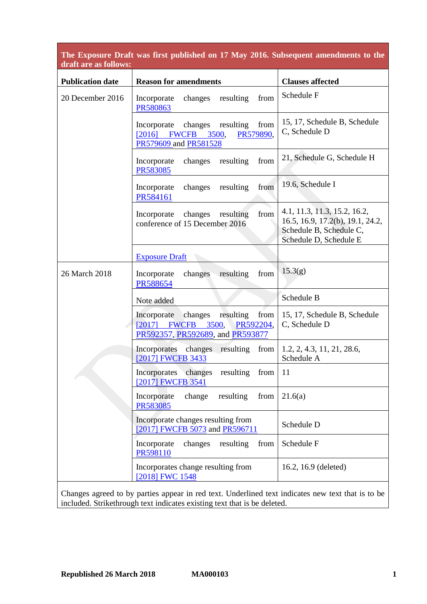# **The Exposure Draft was first published on 17 May 2016. Subsequent amendments to the draft are as follows:**

| <b>Publication date</b> | <b>Reason for amendments</b>                                                                                                    | <b>Clauses affected</b>                                                                                               |
|-------------------------|---------------------------------------------------------------------------------------------------------------------------------|-----------------------------------------------------------------------------------------------------------------------|
| 20 December 2016        | changes<br>resulting<br>Incorporate<br>from<br>PR580863                                                                         | Schedule F                                                                                                            |
|                         | changes<br>resulting<br>from<br>Incorporate<br><b>FWCFB</b> 3500,<br>PR579890,<br>[2016]<br>PR579609 and PR581528               | 15, 17, Schedule B, Schedule<br>C, Schedule D                                                                         |
|                         | Incorporate<br>changes<br>resulting<br>from<br>PR583085                                                                         | 21, Schedule G, Schedule H                                                                                            |
|                         | resulting<br>from<br>Incorporate<br>changes<br>PR584161                                                                         | 19.6, Schedule I                                                                                                      |
|                         | changes<br>from<br>Incorporate<br>resulting<br>conference of 15 December 2016                                                   | 4.1, 11.3, 11.3, 15.2, 16.2,<br>16.5, 16.9, 17.2(b), 19.1, 24.2,<br>Schedule B, Schedule C,<br>Schedule D, Schedule E |
|                         | <b>Exposure Draft</b>                                                                                                           |                                                                                                                       |
| 26 March 2018           | changes<br>from<br>Incorporate<br>resulting<br>PR588654                                                                         | 15.3(g)                                                                                                               |
|                         | Note added                                                                                                                      | Schedule B                                                                                                            |
|                         | resulting<br>changes<br>from<br>Incorporate<br><b>FWCFB</b><br>3500,<br>PR592204,<br>[2017]<br>PR592357, PR592689, and PR593877 | 15, 17, Schedule B, Schedule<br>C, Schedule D                                                                         |
|                         | changes<br>Incorporates<br>resulting<br>from<br>[2017] FWCFB 3433                                                               | 1.2, 2, 4.3, 11, 21, 28.6,<br>Schedule A                                                                              |
|                         | Incorporates<br>changes<br>resulting<br>from<br>[2017] FWCFB 3541                                                               | 11                                                                                                                    |
|                         | resulting<br>from<br>Incorporate<br>change<br>PR583085                                                                          | 21.6(a)                                                                                                               |
|                         | Incorporate changes resulting from<br>[2017] FWCFB 5073 and PR596711                                                            | Schedule D                                                                                                            |
|                         | Incorporate<br>changes<br>resulting<br>from<br>PR598110                                                                         | Schedule F                                                                                                            |
|                         | Incorporates change resulting from<br>[2018] FWC 1548                                                                           | 16.2, 16.9 (deleted)                                                                                                  |
|                         | Changes agreed to by parties appear in red text. Underlined text indicates new text that is to be                               |                                                                                                                       |

included. Strikethrough text indicates existing text that is be deleted.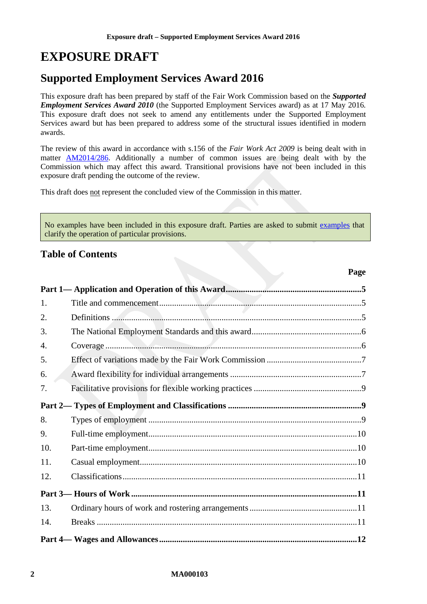# **EXPOSURE DRAFT**

# **Supported Employment Services Award 2016**

This exposure draft has been prepared by staff of the Fair Work Commission based on the *Supported Employment Services Award 2010* (the Supported Employment Services award) as at 17 May 2016*.*  This exposure draft does not seek to amend any entitlements under the Supported Employment Services award but has been prepared to address some of the structural issues identified in modern awards.

The review of this award in accordance with s.156 of the *Fair Work Act 2009* is being dealt with in matter [AM2014/286.](http://www.fwc.gov.au/awards-and-agreements/modern-award-reviews/4-yearly-review/award-stage/award-review-documents/MA000103?m=AM2014/286) Additionally a number of common issues are being dealt with by the Commission which may affect this award. Transitional provisions have not been included in this exposure draft pending the outcome of the review.

This draft does not represent the concluded view of the Commission in this matter.

No examples have been included in this exposure draft. Parties are asked to submit [examples](https://www.fwc.gov.au/sites/awardsmodernfouryr/Example-samples-2014.pdf) that clarify the operation of particular provisions.

**Page**

# **Table of Contents**

| 1.               |                                                                                                                                                                                                                                |  |
|------------------|--------------------------------------------------------------------------------------------------------------------------------------------------------------------------------------------------------------------------------|--|
| 2.               | Definitions Material Communication of the contract of the contract of the contract of the contract of the contract of the contract of the contract of the contract of the contract of the contract of the contract of the cont |  |
| 3.               |                                                                                                                                                                                                                                |  |
| $\overline{4}$ . |                                                                                                                                                                                                                                |  |
| 5.               |                                                                                                                                                                                                                                |  |
| 6.               |                                                                                                                                                                                                                                |  |
| 7.               |                                                                                                                                                                                                                                |  |
|                  |                                                                                                                                                                                                                                |  |
| 8.               |                                                                                                                                                                                                                                |  |
| 9.               |                                                                                                                                                                                                                                |  |
| 10.              |                                                                                                                                                                                                                                |  |
| 11.              |                                                                                                                                                                                                                                |  |
| 12.              |                                                                                                                                                                                                                                |  |
|                  |                                                                                                                                                                                                                                |  |
| 13.              |                                                                                                                                                                                                                                |  |
| 14.              |                                                                                                                                                                                                                                |  |
|                  |                                                                                                                                                                                                                                |  |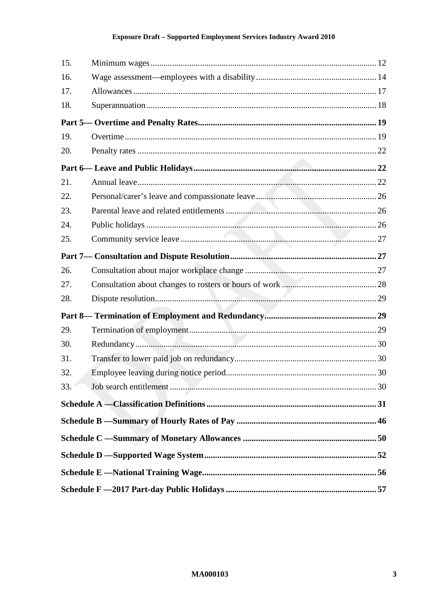## **Exposure Draft - Supported Employment Services Industry Award 2010**

| 15. |  |
|-----|--|
| 16. |  |
| 17. |  |
| 18. |  |
|     |  |
| 19. |  |
| 20. |  |
|     |  |
| 21. |  |
| 22. |  |
| 23. |  |
| 24. |  |
| 25. |  |
|     |  |
| 26. |  |
| 27. |  |
| 28. |  |
|     |  |
| 29. |  |
| 30. |  |
| 31. |  |
| 32. |  |
| 33. |  |
|     |  |
|     |  |
|     |  |
|     |  |
|     |  |
|     |  |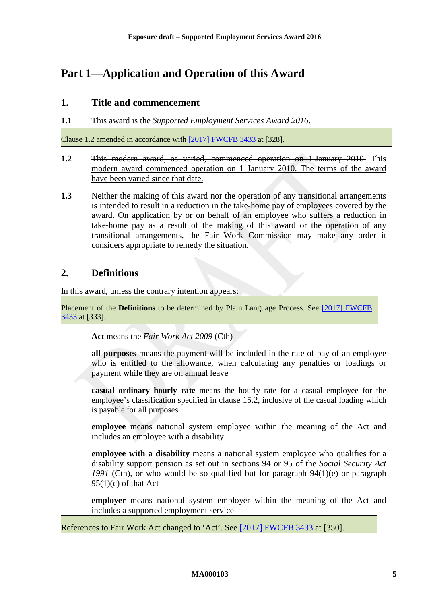# <span id="page-4-3"></span><span id="page-4-2"></span>**Part 1—Application and Operation of this Award**

# **1. Title and commencement**

**1.1** This award is the *Supported Employment Services Award 2016*.

Clause 1.2 amended in accordance with [\[2017\] FWCFB 3433](https://www.fwc.gov.au/documents/decisionssigned/html/2017fwcfb3433.htm) at [328].

- <span id="page-4-0"></span>**1.2** This modern award, as varied, commenced operation on 1 January 2010. This modern award commenced operation on 1 January 2010. The terms of the award have been varied since that date.
- **1.3** Neither the making of this award nor the operation of any transitional arrangements is intended to result in a reduction in the take-home pay of employees covered by the award. On application by or on behalf of an employee who suffers a reduction in take-home pay as a result of the making of this award or the operation of any transitional arrangements, the Fair Work Commission may make any order it considers appropriate to remedy the situation.

# <span id="page-4-1"></span>**2. Definitions**

In this award, unless the contrary intention appears:

Placement of the **Definitions** to be determined by Plain Language Process. See [2017] [FWCFB](https://www.fwc.gov.au/documents/decisionssigned/html/2017fwcfb3433.htm)  [3433](https://www.fwc.gov.au/documents/decisionssigned/html/2017fwcfb3433.htm) at [333].

**Act** means the *Fair Work Act 2009* (Cth)

**all purposes** means the payment will be included in the rate of pay of an employee who is entitled to the allowance, when calculating any penalties or loadings or payment while they are on annual leave

**casual ordinary hourly rate** means the hourly rate for a casual employee for the employee's classification specified in clause [15.2,](#page-11-1) inclusive of the casual loading which is payable for all purposes

**employee** means national system employee within the meaning of the Act and includes an employee with a disability

**employee with a disability** means a national system employee who qualifies for a disability support pension as set out in sections 94 or 95 of the *Social Security Act 1991* (Cth), or who would be so qualified but for paragraph 94(1)(e) or paragraph 95(1)(c) of that Act

**employer** means national system employer within the meaning of the Act and includes a supported employment service

References to Fair Work Act changed to 'Act'. See [\[2017\] FWCFB 3433](https://www.fwc.gov.au/documents/decisionssigned/html/2017fwcfb3433.htm) at [350].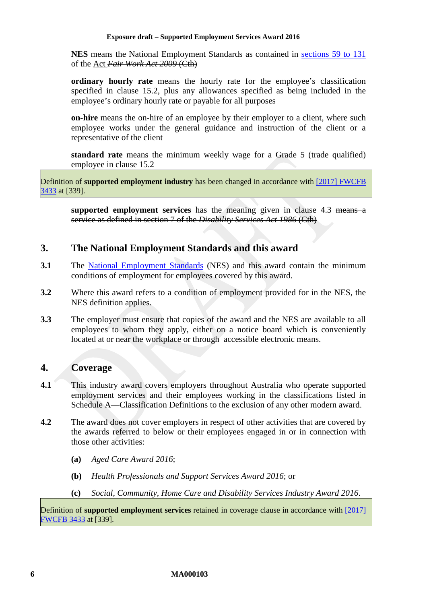**NES** means the National Employment Standards as contained in [sections 59 to 131](http://www.fwc.gov.au/awardmod/download/nes.pdf) of the Act *Fair Work Act 2009* (Cth)

**ordinary hourly rate** means the hourly rate for the employee's classification specified in clause [15.2,](#page-11-1) plus any allowances specified as being included in the employee's ordinary hourly rate or payable for all purposes

**on-hire** means the on-hire of an employee by their employer to a client, where such employee works under the general guidance and instruction of the client or a representative of the client

<span id="page-5-3"></span>**standard rate** means the minimum weekly wage for a Grade 5 (trade qualified) employee in clause [15.2](#page-11-1)

Definition of **supported employment industry** has been changed in accordance with [\[2017\] FWCFB](https://www.fwc.gov.au/documents/decisionssigned/html/2017fwcfb3433.htm)  [3433](https://www.fwc.gov.au/documents/decisionssigned/html/2017fwcfb3433.htm) at [339].

**supported employment services** has the meaning given in clause [4.3](#page-6-0) means a service as defined in section 7 of the *Disability Services Act 1986* (Cth)

# <span id="page-5-1"></span>**3. The National Employment Standards and this award**

- **3.1** The [National Employment Standards](http://www.fwc.gov.au/documents/sites/awardsmodernfouryr/NES-with-bookmarks.pdf) (NES) and this award contain the minimum conditions of employment for employees covered by this award.
- **3.2** Where this award refers to a condition of employment provided for in the NES, the NES definition applies.
- **3.3** The employer must ensure that copies of the award and the NES are available to all employees to whom they apply, either on a notice board which is conveniently located at or near the workplace or through accessible electronic means.

## <span id="page-5-2"></span>**4. Coverage**

- <span id="page-5-0"></span>**4.1** This industry award covers employers throughout Australia who operate supported employment services and their employees working in the classifications listed in [Schedule A—Classification Definitions](#page-30-1) to the exclusion of any other modern award.
- **4.2** The award does not cover employers in respect of other activities that are covered by the awards referred to below or their employees engaged in or in connection with those other activities:
	- **(a)** *Aged Care Award 2016*;
	- **(b)** *Health Professionals and Support Services Award 2016*; or
	- **(c)** *Social, Community, Home Care and Disability Services Industry Award 2016*.

Definition of **supported employment services** retained in coverage clause in accordance with [\[2017\]](https://www.fwc.gov.au/documents/decisionssigned/html/2017fwcfb3433.htm)  [FWCFB 3433](https://www.fwc.gov.au/documents/decisionssigned/html/2017fwcfb3433.htm) at [339].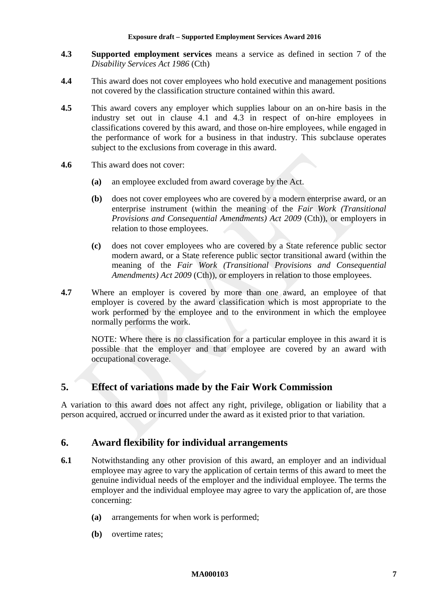- <span id="page-6-0"></span>**4.3 Supported employment services** means a service as defined in section 7 of the *Disability Services Act 1986* (Cth)
- **4.4** This award does not cover employees who hold executive and management positions not covered by the classification structure contained within this award.
- **4.5** This award covers any employer which supplies labour on an on-hire basis in the industry set out in clause [4.1](#page-5-0) and [4.3](#page-6-0) in respect of on-hire employees in classifications covered by this award, and those on-hire employees, while engaged in the performance of work for a business in that industry. This subclause operates subject to the exclusions from coverage in this award.
- **4.6** This award does not cover:
	- **(a)** an employee excluded from award coverage by the Act.
	- **(b)** does not cover employees who are covered by a modern enterprise award, or an enterprise instrument (within the meaning of the *Fair Work (Transitional Provisions and Consequential Amendments) Act 2009 (Cth)), or employers in* relation to those employees.
	- **(c)** does not cover employees who are covered by a State reference public sector modern award, or a State reference public sector transitional award (within the meaning of the *Fair Work (Transitional Provisions and Consequential Amendments) Act 2009* (Cth)), or employers in relation to those employees.
- **4.7** Where an employer is covered by more than one award, an employee of that employer is covered by the award classification which is most appropriate to the work performed by the employee and to the environment in which the employee normally performs the work.

NOTE: Where there is no classification for a particular employee in this award it is possible that the employer and that employee are covered by an award with occupational coverage.

# <span id="page-6-1"></span>**5. Effect of variations made by the Fair Work Commission**

A variation to this award does not affect any right, privilege, obligation or liability that a person acquired, accrued or incurred under the award as it existed prior to that variation.

# <span id="page-6-2"></span>**6. Award flexibility for individual arrangements**

- <span id="page-6-3"></span>**6.1** Notwithstanding any other provision of this award, an employer and an individual employee may agree to vary the application of certain terms of this award to meet the genuine individual needs of the employer and the individual employee. The terms the employer and the individual employee may agree to vary the application of, are those concerning:
	- **(a)** arrangements for when work is performed;
	- **(b)** overtime rates;

#### **MA000103 7**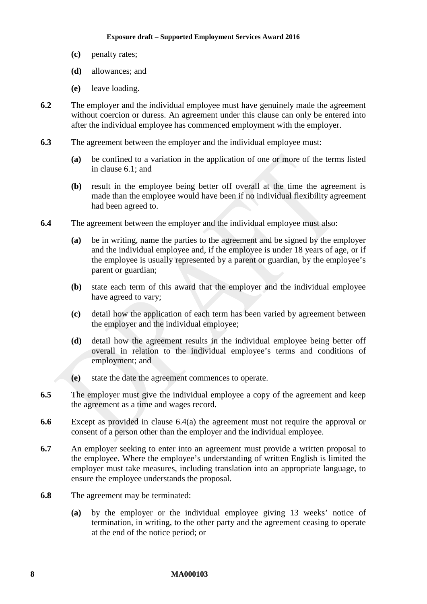- **(c)** penalty rates;
- **(d)** allowances; and
- **(e)** leave loading.
- **6.2** The employer and the individual employee must have genuinely made the agreement without coercion or duress. An agreement under this clause can only be entered into after the individual employee has commenced employment with the employer.
- **6.3** The agreement between the employer and the individual employee must:
	- **(a)** be confined to a variation in the application of one or more of the terms listed in clause [6.1;](#page-6-3) and
	- **(b)** result in the employee being better off overall at the time the agreement is made than the employee would have been if no individual flexibility agreement had been agreed to.
- <span id="page-7-0"></span>**6.4** The agreement between the employer and the individual employee must also:
	- **(a)** be in writing, name the parties to the agreement and be signed by the employer and the individual employee and, if the employee is under 18 years of age, or if the employee is usually represented by a parent or guardian, by the employee's parent or guardian;
	- **(b)** state each term of this award that the employer and the individual employee have agreed to vary;
	- **(c)** detail how the application of each term has been varied by agreement between the employer and the individual employee;
	- **(d)** detail how the agreement results in the individual employee being better off overall in relation to the individual employee's terms and conditions of employment; and
	- **(e)** state the date the agreement commences to operate.
- **6.5** The employer must give the individual employee a copy of the agreement and keep the agreement as a time and wages record.
- **6.6** Except as provided in clause [6.4\(a\)](#page-7-0) the agreement must not require the approval or consent of a person other than the employer and the individual employee.
- **6.7** An employer seeking to enter into an agreement must provide a written proposal to the employee. Where the employee's understanding of written English is limited the employer must take measures, including translation into an appropriate language, to ensure the employee understands the proposal.
- <span id="page-7-1"></span>**6.8** The agreement may be terminated:
	- **(a)** by the employer or the individual employee giving 13 weeks' notice of termination, in writing, to the other party and the agreement ceasing to operate at the end of the notice period; or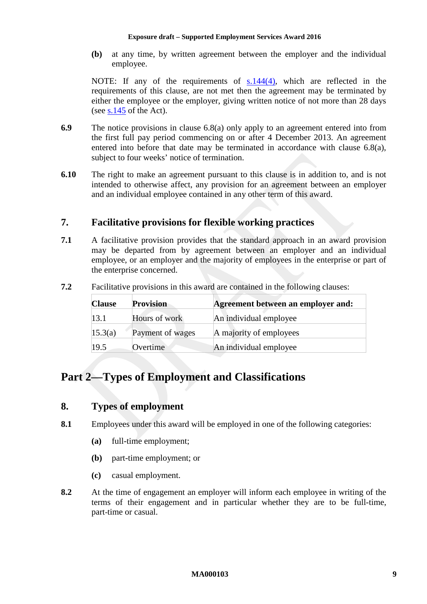**(b)** at any time, by written agreement between the employer and the individual employee.

NOTE: If any of the requirements of  $s.144(4)$ , which are reflected in the requirements of this clause, are not met then the agreement may be terminated by either the employee or the employer, giving written notice of not more than 28 days (see [s.145](http://www.fwc.gov.au/documents/sites/awardsmodernfouryr/s145.pdf) of the Act).

- **6.9** The notice provisions in clause [6.8\(a\)](#page-7-1) only apply to an agreement entered into from the first full pay period commencing on or after 4 December 2013. An agreement entered into before that date may be terminated in accordance with clause [6.8\(a\),](#page-7-1) subject to four weeks' notice of termination.
- **6.10** The right to make an agreement pursuant to this clause is in addition to, and is not intended to otherwise affect, any provision for an agreement between an employer and an individual employee contained in any other term of this award.

# <span id="page-8-0"></span>**7. Facilitative provisions for flexible working practices**

**7.1** A facilitative provision provides that the standard approach in an award provision may be departed from by agreement between an employer and an individual employee, or an employer and the majority of employees in the enterprise or part of the enterprise concerned.

| <b>Clause</b> | <b>Provision</b> | Agreement between an employer and: |
|---------------|------------------|------------------------------------|
| 13.1          | Hours of work    | An individual employee             |
| 15.3(a)       | Payment of wages | A majority of employees            |
| 19.5          | Overtime         | An individual employee             |

**7.2** Facilitative provisions in this award are contained in the following clauses:

# <span id="page-8-2"></span><span id="page-8-1"></span>**Part 2—Types of Employment and Classifications**

# **8. Types of employment**

- **8.1** Employees under this award will be employed in one of the following categories:
	- **(a)** full-time employment;
	- **(b)** part-time employment; or
	- **(c)** casual employment.
- **8.2** At the time of engagement an employer will inform each employee in writing of the terms of their engagement and in particular whether they are to be full-time, part-time or casual.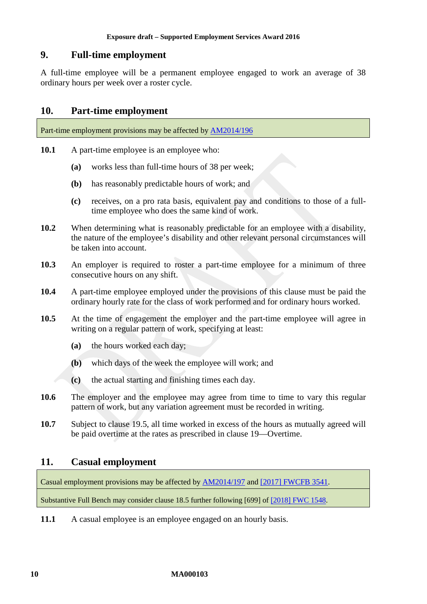# <span id="page-9-1"></span>**9. Full-time employment**

<span id="page-9-2"></span>A full-time employee will be a permanent employee engaged to work an average of 38 ordinary hours per week over a roster cycle.

## **10. Part-time employment**

Part-time employment provisions may be affected by [AM2014/196](https://www.fwc.gov.au/awards-and-agreements/modern-award-reviews/4-yearly-review/common-issues/am2014196-part-time)

- **10.1** A part-time employee is an employee who:
	- **(a)** works less than full-time hours of 38 per week;
	- **(b)** has reasonably predictable hours of work; and
	- **(c)** receives, on a pro rata basis, equivalent pay and conditions to those of a fulltime employee who does the same kind of work.
- **10.2** When determining what is reasonably predictable for an employee with a disability, the nature of the employee's disability and other relevant personal circumstances will be taken into account.
- **10.3** An employer is required to roster a part-time employee for a minimum of three consecutive hours on any shift.
- **10.4** A part-time employee employed under the provisions of this clause must be paid the ordinary hourly rate for the class of work performed and for ordinary hours worked.
- **10.5** At the time of engagement the employer and the part-time employee will agree in writing on a regular pattern of work, specifying at least:
	- **(a)** the hours worked each day;
	- **(b)** which days of the week the employee will work; and
	- **(c)** the actual starting and finishing times each day.
- **10.6** The employer and the employee may agree from time to time to vary this regular pattern of work, but any variation agreement must be recorded in writing.
- **10.7** Subject to clause [19.5,](#page-19-1) all time worked in excess of the hours as mutually agreed will be paid overtime at the rates as prescribed in clause [19—Overtime.](#page-18-2)

# <span id="page-9-0"></span>**11. Casual employment**

Casual employment provisions may be affected by [AM2014/197](https://www.fwc.gov.au/awards-and-agreements/modern-award-reviews/4-yearly-review/common-issues/am2014197-casual-employment) and [\[2017\] FWCFB 3541.](https://www.fwc.gov.au/documents/decisionssigned/html/2017fwcfb3541.htm)

Substantive Full Bench may consider clause 18.5 further following [699] of [\[2018\] FWC 1548.](https://www.fwc.gov.au/documents/decisionssigned/html/2018fwcfb1548.htm)

11.1 A casual employee is an employee engaged on an hourly basis.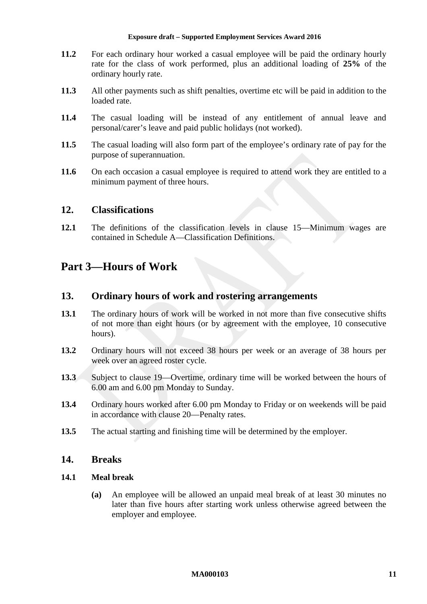- **11.2** For each ordinary hour worked a casual employee will be paid the ordinary hourly rate for the class of work performed, plus an additional loading of **25%** of the ordinary hourly rate.
- <span id="page-10-0"></span>**11.3** All other payments such as shift penalties, overtime etc will be paid in addition to the loaded rate.
- **11.4** The casual loading will be instead of any entitlement of annual leave and personal/carer's leave and paid public holidays (not worked).
- **11.5** The casual loading will also form part of the employee's ordinary rate of pay for the purpose of superannuation.
- **11.6** On each occasion a casual employee is required to attend work they are entitled to a minimum payment of three hours.

## <span id="page-10-1"></span>**12. Classifications**

**12.1** The definitions of the classification levels in clause [15—Minimum wages](#page-11-0) are contained in [Schedule A—Classification Definitions.](#page-30-1)

# <span id="page-10-3"></span><span id="page-10-2"></span>**Part 3—Hours of Work**

## **13. Ordinary hours of work and rostering arrangements**

- <span id="page-10-5"></span>**13.1** The ordinary hours of work will be worked in not more than five consecutive shifts of not more than eight hours (or by agreement with the employee, 10 consecutive hours).
- **13.2** Ordinary hours will not exceed 38 hours per week or an average of 38 hours per week over an agreed roster cycle.
- **13.3** Subject to clause [19—Overtime,](#page-18-2) ordinary time will be worked between the hours of 6.00 am and 6.00 pm Monday to Sunday.
- **13.4** Ordinary hours worked after 6.00 pm Monday to Friday or on weekends will be paid in accordance with clause [20—Penalty rates.](#page-21-1)
- <span id="page-10-4"></span>**13.5** The actual starting and finishing time will be determined by the employer.

## **14. Breaks**

#### **14.1 Meal break**

**(a)** An employee will be allowed an unpaid meal break of at least 30 minutes no later than five hours after starting work unless otherwise agreed between the employer and employee.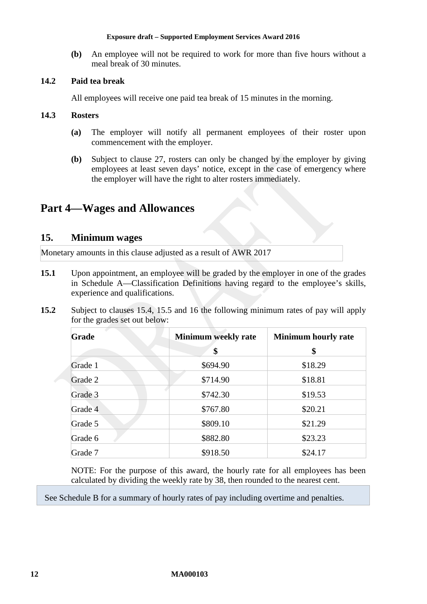**(b)** An employee will not be required to work for more than five hours without a meal break of 30 minutes.

## **14.2 Paid tea break**

All employees will receive one paid tea break of 15 minutes in the morning.

## **14.3 Rosters**

- **(a)** The employer will notify all permanent employees of their roster upon commencement with the employer.
- **(b)** Subject to clause [27,](#page-27-0) rosters can only be changed by the employer by giving employees at least seven days' notice, except in the case of emergency where the employer will have the right to alter rosters immediately.

# <span id="page-11-2"></span><span id="page-11-0"></span>**Part 4—Wages and Allowances**

# **15. Minimum wages**

Monetary amounts in this clause adjusted as a result of AWR 2017

- **15.1** Upon appointment, an employee will be graded by the employer in one of the grades in [Schedule A—Classification Definitions](#page-30-1) having regard to the employee's skills, experience and qualifications.
- <span id="page-11-1"></span>**15.2** Subject to clauses [15.4,](#page-13-2) [15.5](#page-13-3) and [16](#page-13-1) the following minimum rates of pay will apply for the grades set out below:

| Grade   | <b>Minimum</b> weekly rate | <b>Minimum hourly rate</b> |  |
|---------|----------------------------|----------------------------|--|
|         | \$                         | \$                         |  |
| Grade 1 | \$694.90                   | \$18.29                    |  |
| Grade 2 | \$714.90                   | \$18.81                    |  |
| Grade 3 | \$742.30                   | \$19.53                    |  |
| Grade 4 | \$767.80                   | \$20.21                    |  |
| Grade 5 | \$809.10                   | \$21.29                    |  |
| Grade 6 | \$882.80                   | \$23.23                    |  |
| Grade 7 | \$918.50                   | \$24.17                    |  |

NOTE: For the purpose of this award, the hourly rate for all employees has been calculated by dividing the weekly rate by 38, then rounded to the nearest cent.

See [Schedule B](#page-45-0) for a summary of hourly rates of pay including overtime and penalties.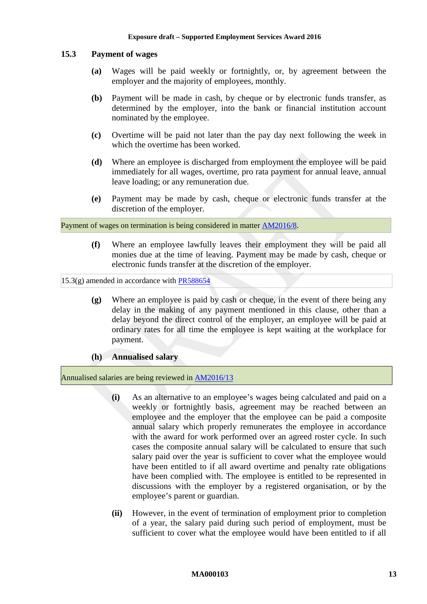#### <span id="page-12-1"></span>**15.3 Payment of wages**

- **(a)** Wages will be paid weekly or fortnightly, or, by agreement between the employer and the majority of employees, monthly.
- **(b)** Payment will be made in cash, by cheque or by electronic funds transfer, as determined by the employer, into the bank or financial institution account nominated by the employee.
- **(c)** Overtime will be paid not later than the pay day next following the week in which the overtime has been worked.
- **(d)** Where an employee is discharged from employment the employee will be paid immediately for all wages, overtime, pro rata payment for annual leave, annual leave loading; or any remuneration due.
- **(e)** Payment may be made by cash, cheque or electronic funds transfer at the discretion of the employer.

Payment of wages on termination is being considered in matter [AM2016/8.](https://www.fwc.gov.au/awards-agreements/awards/modern-award-reviews/4-yearly-review/common-issues/am20168-payment-wages)

**(f)** Where an employee lawfully leaves their employment they will be paid all monies due at the time of leaving. Payment may be made by cash, cheque or electronic funds transfer at the discretion of the employer.

<span id="page-12-0"></span> $15.3(g)$  amended in accordance with [PR588654](https://www.fwc.gov.au/documents/awardsandorders/html/pr588654.htm)

**(g)** Where an employee is paid by cash or cheque, in the event of there being any delay in the making of any payment mentioned in this clause, other than a delay beyond the direct control of the employer, an employee will be paid at ordinary rates for all time the employee is kept waiting at the workplace for payment.

#### **(h) Annualised salary**

Annualised salaries are being reviewed in [AM2016/13](https://www.fwc.gov.au/awards-agreements/awards/modern-award-reviews/4-yearly-review/common-issues/am201613-annualised)

- **(i)** As an alternative to an employee's wages being calculated and paid on a weekly or fortnightly basis, agreement may be reached between an employee and the employer that the employee can be paid a composite annual salary which properly remunerates the employee in accordance with the award for work performed over an agreed roster cycle. In such cases the composite annual salary will be calculated to ensure that such salary paid over the year is sufficient to cover what the employee would have been entitled to if all award overtime and penalty rate obligations have been complied with. The employee is entitled to be represented in discussions with the employer by a registered organisation, or by the employee's parent or guardian.
- **(ii)** However, in the event of termination of employment prior to completion of a year, the salary paid during such period of employment, must be sufficient to cover what the employee would have been entitled to if all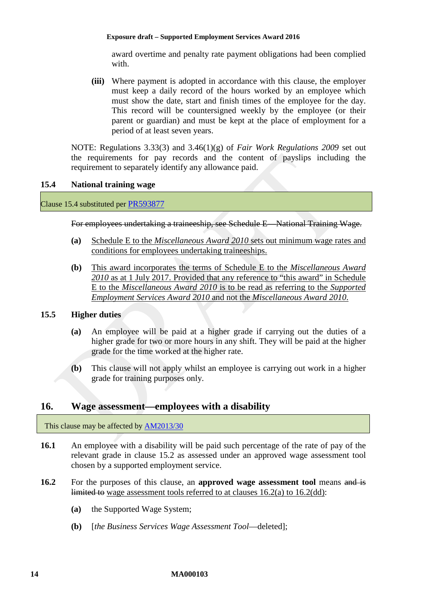award overtime and penalty rate payment obligations had been complied with.

**(iii)** Where payment is adopted in accordance with this clause, the employer must keep a daily record of the hours worked by an employee which must show the date, start and finish times of the employee for the day. This record will be countersigned weekly by the employee (or their parent or guardian) and must be kept at the place of employment for a period of at least seven years.

NOTE: Regulations 3.33(3) and 3.46(1)(g) of *Fair Work Regulations 2009* set out the requirements for pay records and the content of payslips including the requirement to separately identify any allowance paid.

#### <span id="page-13-2"></span>**15.4 National training wage**

#### Clause [15.4](#page-13-2) substituted per [PR593877](http://www.fwc.gov.au/awardsandorders/html/PR593877.htm)

For employees undertaking a traineeship, see [Schedule E—National Training Wage.](#page-55-0)

- **(a)** Schedule E to the *Miscellaneous Award 2010* sets out minimum wage rates and conditions for employees undertaking traineeships.
- **(b)** This award incorporates the terms of Schedule E to the *Miscellaneous Award 2010* as at 1 July 2017. Provided that any reference to "this award" in Schedule E to the *Miscellaneous Award 2010* is to be read as referring to the *Supported Employment Services Award 2010* and not the *Miscellaneous Award 2010*.

#### <span id="page-13-3"></span>**15.5 Higher duties**

- **(a)** An employee will be paid at a higher grade if carrying out the duties of a higher grade for two or more hours in any shift. They will be paid at the higher grade for the time worked at the higher rate.
- **(b)** This clause will not apply whilst an employee is carrying out work in a higher grade for training purposes only.

## <span id="page-13-1"></span>**16. Wage assessment—employees with a disability**

#### This clause may be affected by [AM2013/30](https://www.fwc.gov.au/awards-and-agreements/awards/award-modernisation/variation-applications/AM2013/30)

- <span id="page-13-5"></span>**16.1** An employee with a disability will be paid such percentage of the rate of pay of the relevant grade in clause [15.2](#page-11-1) as assessed under an approved wage assessment tool chosen by a supported employment service.
- <span id="page-13-4"></span><span id="page-13-0"></span>**16.2** For the purposes of this clause, an **approved wage assessment tool** means and is limited to wage assessment tools referred to at clauses  $16.2(a)$  to  $16.2(dd)$ :
	- **(a)** the Supported Wage System;
	- **(b)** [*the Business Services Wage Assessment Tool*—deleted];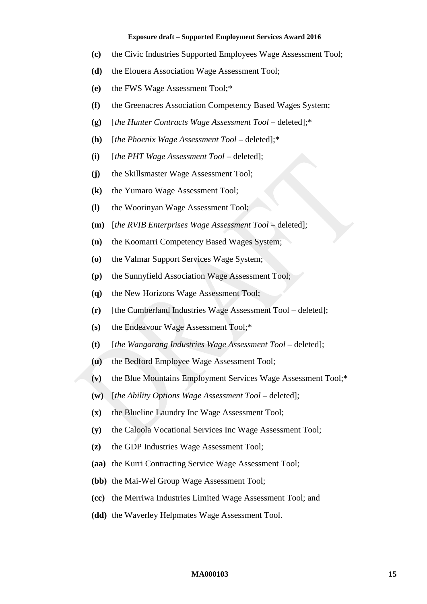- **(c)** the Civic Industries Supported Employees Wage Assessment Tool;
- **(d)** the Elouera Association Wage Assessment Tool;
- **(e)** the FWS Wage Assessment Tool;\*
- **(f)** the Greenacres Association Competency Based Wages System;
- **(g)** [*the Hunter Contracts Wage Assessment Tool* deleted];\*
- **(h)** [*the Phoenix Wage Assessment Tool* deleted];\*
- **(i)** [*the PHT Wage Assessment Tool* deleted];
- **(j)** the Skillsmaster Wage Assessment Tool;
- **(k)** the Yumaro Wage Assessment Tool;
- **(l)** the Woorinyan Wage Assessment Tool;
- **(m)** [*the RVIB Enterprises Wage Assessment Tool* deleted];
- **(n)** the Koomarri Competency Based Wages System;
- **(o)** the Valmar Support Services Wage System;
- **(p)** the Sunnyfield Association Wage Assessment Tool;
- **(q)** the New Horizons Wage Assessment Tool;
- **(r)** [the Cumberland Industries Wage Assessment Tool deleted];
- **(s)** the Endeavour Wage Assessment Tool;\*
- **(t)** [*the Wangarang Industries Wage Assessment Tool* deleted];
- <span id="page-14-1"></span>**(u)** the Bedford Employee Wage Assessment Tool;
- <span id="page-14-2"></span>**(v)** the Blue Mountains Employment Services Wage Assessment Tool;\*
- **(w)** [*the Ability Options Wage Assessment Tool* deleted];
- **(x)** the Blueline Laundry Inc Wage Assessment Tool;
- **(y)** the Caloola Vocational Services Inc Wage Assessment Tool;
- **(z)** the GDP Industries Wage Assessment Tool;
- **(aa)** the Kurri Contracting Service Wage Assessment Tool;
- **(bb)** the Mai-Wel Group Wage Assessment Tool;
- <span id="page-14-0"></span>**(cc)** the Merriwa Industries Limited Wage Assessment Tool; and
- **(dd)** the Waverley Helpmates Wage Assessment Tool.

#### **MA000103 15**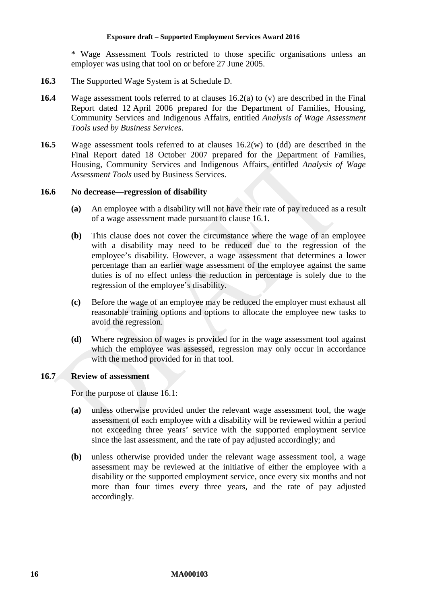\* Wage Assessment Tools restricted to those specific organisations unless an employer was using that tool on or before 27 June 2005.

- **16.3** The Supported Wage System is at [Schedule D.](#page-51-0)
- **16.4** Wage assessment tools referred to at clauses [16.2\(a\)](#page-13-4) to [\(v\)](#page-14-1) are described in the Final Report dated 12 April 2006 prepared for the Department of Families, Housing, Community Services and Indigenous Affairs, entitled *Analysis of Wage Assessment Tools used by Business Services*.
- <span id="page-15-0"></span>**16.5** Wage assessment tools referred to at clauses [16.2\(w\)](#page-14-2) to [\(dd\)](#page-14-0) are described in the Final Report dated 18 October 2007 prepared for the Department of Families, Housing, Community Services and Indigenous Affairs, entitled *Analysis of Wage Assessment Tools* used by Business Services.

#### **16.6 No decrease—regression of disability**

- **(a)** An employee with a disability will not have their rate of pay reduced as a result of a wage assessment made pursuant to clause [16.1.](#page-13-5)
- **(b)** This clause does not cover the circumstance where the wage of an employee with a disability may need to be reduced due to the regression of the employee's disability. However, a wage assessment that determines a lower percentage than an earlier wage assessment of the employee against the same duties is of no effect unless the reduction in percentage is solely due to the regression of the employee's disability.
- **(c)** Before the wage of an employee may be reduced the employer must exhaust all reasonable training options and options to allocate the employee new tasks to avoid the regression.
- **(d)** Where regression of wages is provided for in the wage assessment tool against which the employee was assessed, regression may only occur in accordance with the method provided for in that tool.

#### <span id="page-15-1"></span>**16.7 Review of assessment**

For the purpose of clause [16.1:](#page-13-5)

- **(a)** unless otherwise provided under the relevant wage assessment tool, the wage assessment of each employee with a disability will be reviewed within a period not exceeding three years' service with the supported employment service since the last assessment, and the rate of pay adjusted accordingly; and
- **(b)** unless otherwise provided under the relevant wage assessment tool, a wage assessment may be reviewed at the initiative of either the employee with a disability or the supported employment service, once every six months and not more than four times every three years, and the rate of pay adjusted accordingly.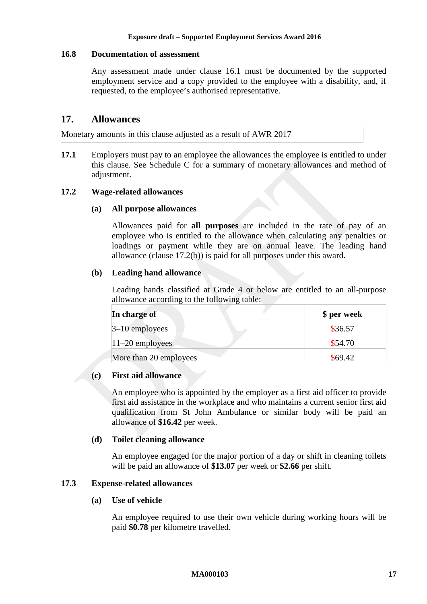#### **16.8 Documentation of assessment**

Any assessment made under clause [16.1](#page-13-5) must be documented by the supported employment service and a copy provided to the employee with a disability, and, if requested, to the employee's authorised representative.

## <span id="page-16-0"></span>**17. Allowances**

Monetary amounts in this clause adjusted as a result of AWR 2017

**17.1** Employers must pay to an employee the allowances the employee is entitled to under this clause. See [Schedule C](#page-49-0) for a summary of monetary allowances and method of adjustment.

## <span id="page-16-2"></span>**17.2 Wage-related allowances**

#### **(a) All purpose allowances**

Allowances paid for **all purposes** are included in the rate of pay of an employee who is entitled to the allowance when calculating any penalties or loadings or payment while they are on annual leave. The leading hand allowance (clause [17.2\(b\)\)](#page-16-1) is paid for all purposes under this award.

#### <span id="page-16-1"></span>**(b) Leading hand allowance**

Leading hands classified at Grade 4 or below are entitled to an all-purpose allowance according to the following table:

| In charge of           | \$ per week |
|------------------------|-------------|
| $3-10$ employees       | \$36.57     |
| $11-20$ employees      | \$54.70     |
| More than 20 employees | \$69.42     |

#### <span id="page-16-3"></span>**(c) First aid allowance**

An employee who is appointed by the employer as a first aid officer to provide first aid assistance in the workplace and who maintains a current senior first aid qualification from St John Ambulance or similar body will be paid an allowance of **\$16.42** per week.

#### <span id="page-16-4"></span>**(d) Toilet cleaning allowance**

An employee engaged for the major portion of a day or shift in cleaning toilets will be paid an allowance of **\$13.07** per week or **\$2.66** per shift.

#### <span id="page-16-6"></span><span id="page-16-5"></span>**17.3 Expense-related allowances**

#### **(a) Use of vehicle**

An employee required to use their own vehicle during working hours will be paid **\$0.78** per kilometre travelled.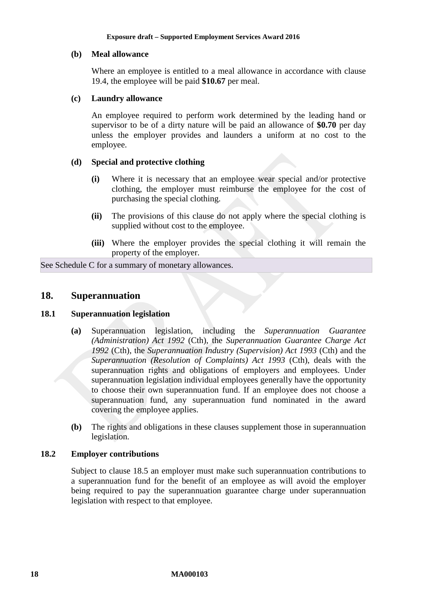#### <span id="page-17-2"></span>**(b) Meal allowance**

Where an employee is entitled to a meal allowance in accordance with clause [19.4,](#page-19-2) the employee will be paid **\$10.67** per meal.

#### <span id="page-17-3"></span>**(c) Laundry allowance**

An employee required to perform work determined by the leading hand or supervisor to be of a dirty nature will be paid an allowance of **\$0.70** per day unless the employer provides and launders a uniform at no cost to the employee.

#### **(d) Special and protective clothing**

- **(i)** Where it is necessary that an employee wear special and/or protective clothing, the employer must reimburse the employee for the cost of purchasing the special clothing.
- **(ii)** The provisions of this clause do not apply where the special clothing is supplied without cost to the employee.
- **(iii)** Where the employer provides the special clothing it will remain the property of the employer.

<span id="page-17-0"></span>See [Schedule C](#page-49-0) for a summary of monetary allowances.

## **18. Superannuation**

#### **18.1 Superannuation legislation**

- **(a)** Superannuation legislation, including the *Superannuation Guarantee (Administration) Act 1992* (Cth), the *Superannuation Guarantee Charge Act 1992* (Cth), the *Superannuation Industry (Supervision) Act 1993* (Cth) and the *Superannuation (Resolution of Complaints) Act 1993* (Cth), deals with the superannuation rights and obligations of employers and employees. Under superannuation legislation individual employees generally have the opportunity to choose their own superannuation fund. If an employee does not choose a superannuation fund, any superannuation fund nominated in the award covering the employee applies.
- **(b)** The rights and obligations in these clauses supplement those in superannuation legislation.

#### <span id="page-17-1"></span>**18.2 Employer contributions**

Subject to clause [18.5](#page-18-3) an employer must make such superannuation contributions to a superannuation fund for the benefit of an employee as will avoid the employer being required to pay the superannuation guarantee charge under superannuation legislation with respect to that employee.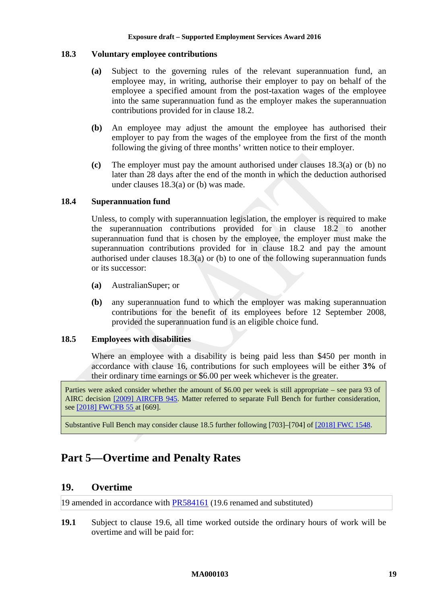## <span id="page-18-4"></span>**18.3 Voluntary employee contributions**

- **(a)** Subject to the governing rules of the relevant superannuation fund, an employee may, in writing, authorise their employer to pay on behalf of the employee a specified amount from the post-taxation wages of the employee into the same superannuation fund as the employer makes the superannuation contributions provided for in clause [18.2.](#page-17-1)
- <span id="page-18-5"></span>**(b)** An employee may adjust the amount the employee has authorised their employer to pay from the wages of the employee from the first of the month following the giving of three months' written notice to their employer.
- **(c)** The employer must pay the amount authorised under clauses [18.3\(a\)](#page-18-4) or [\(b\)](#page-18-5) no later than 28 days after the end of the month in which the deduction authorised under clauses [18.3\(a\)](#page-18-4) or [\(b\)](#page-18-5) was made.

## **18.4 Superannuation fund**

Unless, to comply with superannuation legislation, the employer is required to make the superannuation contributions provided for in clause [18.2](#page-17-1) to another superannuation fund that is chosen by the employee, the employer must make the superannuation contributions provided for in clause [18.2](#page-17-1) and pay the amount authorised under clauses [18.3\(a\)](#page-18-4) or [\(b\)](#page-18-5) to one of the following superannuation funds or its successor:

- **(a)** AustralianSuper; or
- **(b)** any superannuation fund to which the employer was making superannuation contributions for the benefit of its employees before 12 September 2008, provided the superannuation fund is an eligible choice fund.

#### <span id="page-18-3"></span>**18.5 Employees with disabilities**

Where an employee with a disability is being paid less than \$450 per month in accordance with clause [16,](#page-13-1) contributions for such employees will be either **3%** of their ordinary time earnings or \$6.00 per week whichever is the greater.

Parties were asked consider whether the amount of \$6.00 per week is still appropriate – see para 93 of AIRC decision [\[2009\] AIRCFB 945.](https://www.fwc.gov.au/decisionssigned/html/2009AIRCFB945.htm) Matter referred to separate Full Bench for further consideration, se[e \[2018\] FWCFB 55 a](https://www.fwc.gov.au/documents/decisionssigned/html/2018fwcfb55.htm)t [669].

<span id="page-18-1"></span>Substantive Full Bench may consider clause 18.5 further following [703]–[704] of [\[2018\] FWC 1548.](https://www.fwc.gov.au/documents/decisionssigned/html/2018fwcfb1548.htm)

# <span id="page-18-2"></span>**Part 5—Overtime and Penalty Rates**

# **19. Overtime**

19 amended in accordance with [PR584161](https://www.fwc.gov.au/documents/awardsandorders/html/pr584161.htm) (19.6 renamed and substituted)

<span id="page-18-0"></span>**19.1** Subject to clause [19.6,](#page-19-0) all time worked outside the ordinary hours of work will be overtime and will be paid for: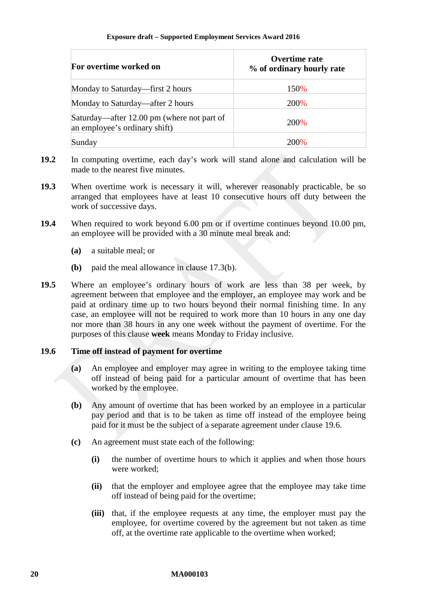| For overtime worked on                                                      | Overtime rate<br>% of ordinary hourly rate |  |
|-----------------------------------------------------------------------------|--------------------------------------------|--|
| Monday to Saturday—first 2 hours                                            | 150\%                                      |  |
| Monday to Saturday—after 2 hours                                            | 200\%                                      |  |
| Saturday—after 12.00 pm (where not part of<br>an employee's ordinary shift) | 200\%                                      |  |
| Sunday                                                                      | 200%                                       |  |

- **19.2** In computing overtime, each day's work will stand alone and calculation will be made to the nearest five minutes.
- **19.3** When overtime work is necessary it will, wherever reasonably practicable, be so arranged that employees have at least 10 consecutive hours off duty between the work of successive days.
- <span id="page-19-2"></span>**19.4** When required to work beyond 6.00 pm or if overtime continues beyond 10.00 pm, an employee will be provided with a 30 minute meal break and:
	- **(a)** a suitable meal; or
	- **(b)** paid the meal allowance in clause [17.3\(b\).](#page-17-2)
- <span id="page-19-1"></span>**19.5** Where an employee's ordinary hours of work are less than 38 per week, by agreement between that employee and the employer, an employee may work and be paid at ordinary time up to two hours beyond their normal finishing time. In any case, an employee will not be required to work more than 10 hours in any one day nor more than 38 hours in any one week without the payment of overtime. For the purposes of this clause **week** means Monday to Friday inclusive.

#### <span id="page-19-0"></span>**19.6 Time off instead of payment for overtime**

- **(a)** An employee and employer may agree in writing to the employee taking time off instead of being paid for a particular amount of overtime that has been worked by the employee.
- <span id="page-19-4"></span>**(b)** Any amount of overtime that has been worked by an employee in a particular pay period and that is to be taken as time off instead of the employee being paid for it must be the subject of a separate agreement under clause [19.6.](#page-19-0)
- <span id="page-19-3"></span>**(c)** An agreement must state each of the following:
	- **(i)** the number of overtime hours to which it applies and when those hours were worked;
	- **(ii)** that the employer and employee agree that the employee may take time off instead of being paid for the overtime;
	- **(iii)** that, if the employee requests at any time, the employer must pay the employee, for overtime covered by the agreement but not taken as time off, at the overtime rate applicable to the overtime when worked;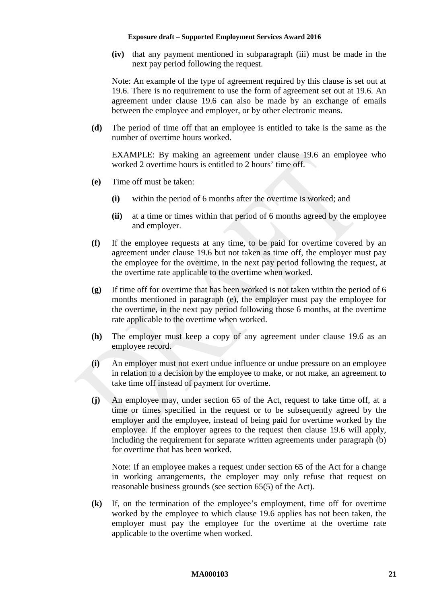**(iv)** that any payment mentioned in subparagraph [\(iii\)](#page-19-3) must be made in the next pay period following the request.

Note: An example of the type of agreement required by this clause is set out at [19.6.](#page-19-0) There is no requirement to use the form of agreement set out at [19.6.](#page-19-0) An agreement under clause [19.6](#page-19-0) can also be made by an exchange of emails between the employee and employer, or by other electronic means.

**(d)** The period of time off that an employee is entitled to take is the same as the number of overtime hours worked.

EXAMPLE: By making an agreement under clause [19.6](#page-19-0) an employee who worked 2 overtime hours is entitled to 2 hours' time off.

- <span id="page-20-0"></span>**(e)** Time off must be taken:
	- **(i)** within the period of 6 months after the overtime is worked; and
	- **(ii)** at a time or times within that period of 6 months agreed by the employee and employer.
- **(f)** If the employee requests at any time, to be paid for overtime covered by an agreement under clause [19.6](#page-19-0) but not taken as time off, the employer must pay the employee for the overtime, in the next pay period following the request, at the overtime rate applicable to the overtime when worked.
- **(g)** If time off for overtime that has been worked is not taken within the period of 6 months mentioned in paragraph [\(e\),](#page-20-0) the employer must pay the employee for the overtime, in the next pay period following those 6 months, at the overtime rate applicable to the overtime when worked.
- **(h)** The employer must keep a copy of any agreement under clause [19.6](#page-19-0) as an employee record.
- **(i)** An employer must not exert undue influence or undue pressure on an employee in relation to a decision by the employee to make, or not make, an agreement to take time off instead of payment for overtime.
- **(j)** An employee may, under section 65 of the Act, request to take time off, at a time or times specified in the request or to be subsequently agreed by the employer and the employee, instead of being paid for overtime worked by the employee. If the employer agrees to the request then clause [19.6](#page-19-0) will apply, including the requirement for separate written agreements under paragraph [\(b\)](#page-19-4) for overtime that has been worked.

Note: If an employee makes a request under section 65 of the Act for a change in working arrangements, the employer may only refuse that request on reasonable business grounds (see section 65(5) of the Act).

**(k)** If, on the termination of the employee's employment, time off for overtime worked by the employee to which clause [19.6](#page-19-0) applies has not been taken, the employer must pay the employee for the overtime at the overtime rate applicable to the overtime when worked.

#### **MA000103 21**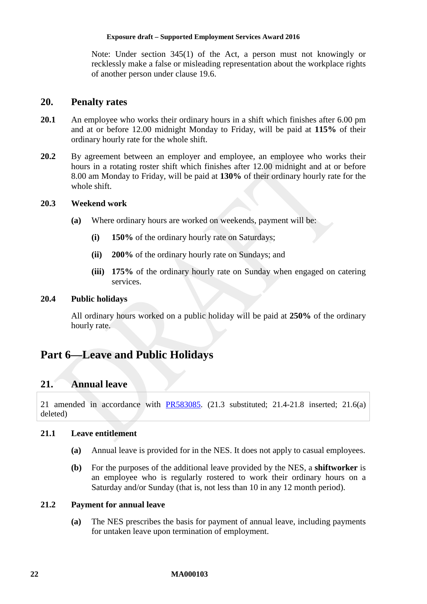Note: Under section 345(1) of the Act, a person must not knowingly or recklessly make a false or misleading representation about the workplace rights of another person under clause [19.6.](#page-19-0)

## <span id="page-21-1"></span>**20. Penalty rates**

- <span id="page-21-5"></span>**20.1** An employee who works their ordinary hours in a shift which finishes after 6.00 pm and at or before 12.00 midnight Monday to Friday, will be paid at **115%** of their ordinary hourly rate for the whole shift.
- <span id="page-21-6"></span>**20.2** By agreement between an employer and employee, an employee who works their hours in a rotating roster shift which finishes after 12.00 midnight and at or before 8.00 am Monday to Friday, will be paid at **130%** of their ordinary hourly rate for the whole shift.

## **20.3 Weekend work**

- **(a)** Where ordinary hours are worked on weekends, payment will be:
	- **(i) 150%** of the ordinary hourly rate on Saturdays;
	- **(ii) 200%** of the ordinary hourly rate on Sundays; and
	- **(iii) 175%** of the ordinary hourly rate on Sunday when engaged on catering services.

## <span id="page-21-4"></span>**20.4 Public holidays**

All ordinary hours worked on a public holiday will be paid at **250%** of the ordinary hourly rate.

# <span id="page-21-2"></span><span id="page-21-0"></span>**Part 6—Leave and Public Holidays**

# **21. Annual leave**

21 amended in accordance with [PR583085.](https://www.fwc.gov.au/documents/awardsandorders/html/pr583085.htm) (21.3 substituted; 21.4-21.8 inserted; [21.6\(](#page-23-0)a) deleted)

#### <span id="page-21-3"></span>**21.1 Leave entitlement**

- **(a)** Annual leave is provided for in the NES. It does not apply to casual employees.
- **(b)** For the purposes of the additional leave provided by the NES, a **shiftworker** is an employee who is regularly rostered to work their ordinary hours on a Saturday and/or Sunday (that is, not less than 10 in any 12 month period).

#### **21.2 Payment for annual leave**

**(a)** The NES prescribes the basis for payment of annual leave, including payments for untaken leave upon termination of employment.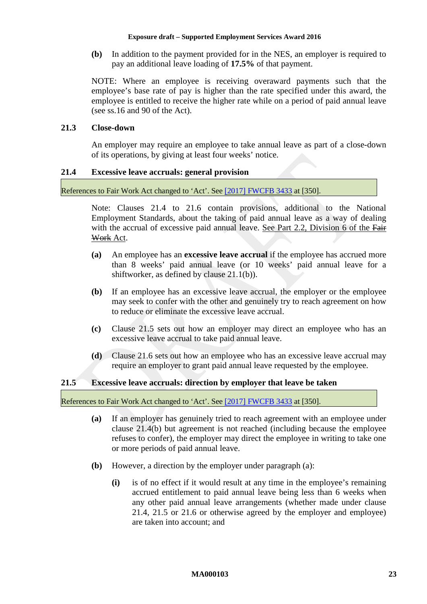**(b)** In addition to the payment provided for in the NES, an employer is required to pay an additional leave loading of **17.5%** of that payment.

NOTE: Where an employee is receiving overaward payments such that the employee's base rate of pay is higher than the rate specified under this award, the employee is entitled to receive the higher rate while on a period of paid annual leave (see ss.16 and 90 of the Act).

## **21.3 Close-down**

An employer may require an employee to take annual leave as part of a close-down of its operations, by giving at least four weeks' notice.

#### <span id="page-22-0"></span>**21.4 Excessive leave accruals: general provision**

References to Fair Work Act changed to 'Act'. See [\[2017\] FWCFB 3433](https://www.fwc.gov.au/documents/decisionssigned/html/2017fwcfb3433.htm) at [350].

Note: Clauses [21.4](#page-22-0) to [21.6](#page-23-0) contain provisions, additional to the National Employment Standards, about the taking of paid annual leave as a way of dealing with the accrual of excessive paid annual leave. See Part 2.2, Division 6 of the Fair Work Act.

- **(a)** An employee has an **excessive leave accrual** if the employee has accrued more than 8 weeks' paid annual leave (or 10 weeks' paid annual leave for a shiftworker, as defined by clause [21.1\(b\)\)](#page-21-3).
- <span id="page-22-2"></span>**(b)** If an employee has an excessive leave accrual, the employer or the employee may seek to confer with the other and genuinely try to reach agreement on how to reduce or eliminate the excessive leave accrual.
- **(c)** Clause [21.5](#page-22-1) sets out how an employer may direct an employee who has an excessive leave accrual to take paid annual leave.
- **(d)** Clause [21.6](#page-23-0) sets out how an employee who has an excessive leave accrual may require an employer to grant paid annual leave requested by the employee.

#### <span id="page-22-1"></span>**21.5 Excessive leave accruals: direction by employer that leave be taken**

<span id="page-22-3"></span>References to Fair Work Act changed to 'Act'. See [\[2017\] FWCFB 3433](https://www.fwc.gov.au/documents/decisionssigned/html/2017fwcfb3433.htm) at [350].

- **(a)** If an employer has genuinely tried to reach agreement with an employee under clause [21.4\(b\)](#page-22-2) but agreement is not reached (including because the employee refuses to confer), the employer may direct the employee in writing to take one or more periods of paid annual leave.
- <span id="page-22-4"></span>**(b)** However, a direction by the employer under paragraph [\(a\):](#page-22-3)
	- **(i)** is of no effect if it would result at any time in the employee's remaining accrued entitlement to paid annual leave being less than 6 weeks when any other paid annual leave arrangements (whether made under clause [21.4,](#page-22-0) [21.5](#page-22-1) or [21.6](#page-23-0) or otherwise agreed by the employer and employee) are taken into account; and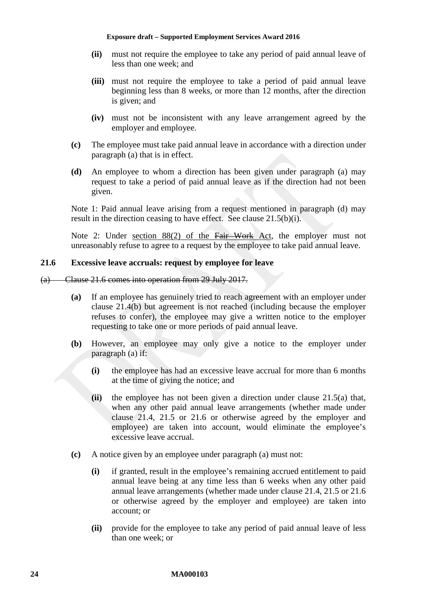- **(ii)** must not require the employee to take any period of paid annual leave of less than one week; and
- **(iii)** must not require the employee to take a period of paid annual leave beginning less than 8 weeks, or more than 12 months, after the direction is given; and
- **(iv)** must not be inconsistent with any leave arrangement agreed by the employer and employee.
- **(c)** The employee must take paid annual leave in accordance with a direction under paragraph [\(a\)](#page-22-3) that is in effect.
- <span id="page-23-1"></span>**(d)** An employee to whom a direction has been given under paragraph [\(a\)](#page-22-3) may request to take a period of paid annual leave as if the direction had not been given.

Note 1: Paid annual leave arising from a request mentioned in paragraph [\(d\)](#page-23-1) may result in the direction ceasing to have effect. See clause [21.5\(b\)\(i\).](#page-22-4)

Note 2: Under section 88(2) of the Fair Work Act, the employer must not unreasonably refuse to agree to a request by the employee to take paid annual leave.

#### <span id="page-23-0"></span>**21.6 Excessive leave accruals: request by employee for leave**

- **(a)** If an employee has genuinely tried to reach agreement with an employer under clause [21.4\(b\)](#page-22-2) but agreement is not reached (including because the employer refuses to confer), the employee may give a written notice to the employer requesting to take one or more periods of paid annual leave.
- **(b)** However, an employee may only give a notice to the employer under paragraph [\(a\)](#page-23-2) if:
	- **(i)** the employee has had an excessive leave accrual for more than 6 months at the time of giving the notice; and
	- **(ii)** the employee has not been given a direction under clause [21.5\(a\)](#page-22-3) that, when any other paid annual leave arrangements (whether made under clause [21.4,](#page-22-0) [21.5](#page-22-1) or [21.6](#page-23-0) or otherwise agreed by the employer and employee) are taken into account, would eliminate the employee's excessive leave accrual.
- **(c)** A notice given by an employee under paragraph [\(a\)](#page-23-2) must not:
	- **(i)** if granted, result in the employee's remaining accrued entitlement to paid annual leave being at any time less than 6 weeks when any other paid annual leave arrangements (whether made under clause [21.4,](#page-22-0) [21.5](#page-22-1) or [21.6](#page-23-0) or otherwise agreed by the employer and employee) are taken into account; or
	- **(ii)** provide for the employee to take any period of paid annual leave of less than one week; or

<span id="page-23-2"></span><sup>(</sup>a) Clause [21.6](#page-23-0) comes into operation from 29 July 2017.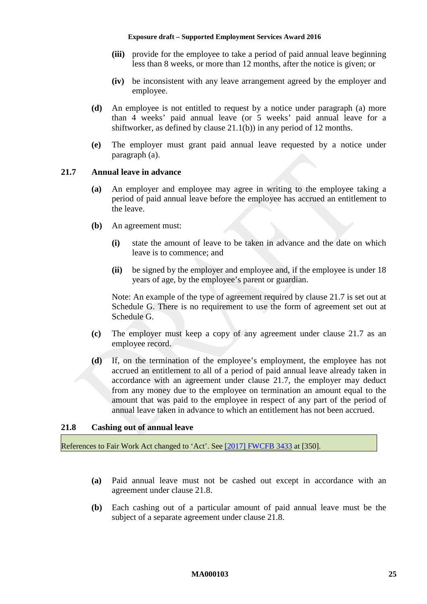- **(iii)** provide for the employee to take a period of paid annual leave beginning less than 8 weeks, or more than 12 months, after the notice is given; or
- **(iv)** be inconsistent with any leave arrangement agreed by the employer and employee.
- **(d)** An employee is not entitled to request by a notice under paragraph [\(a\)](#page-23-2) more than 4 weeks' paid annual leave (or 5 weeks' paid annual leave for a shiftworker, as defined by clause [21.1\(b\)\)](#page-21-3) in any period of 12 months.
- **(e)** The employer must grant paid annual leave requested by a notice under paragraph [\(a\).](#page-23-2)

## <span id="page-24-0"></span>**21.7 Annual leave in advance**

- **(a)** An employer and employee may agree in writing to the employee taking a period of paid annual leave before the employee has accrued an entitlement to the leave.
- **(b)** An agreement must:
	- **(i)** state the amount of leave to be taken in advance and the date on which leave is to commence; and
	- **(ii)** be signed by the employer and employee and, if the employee is under 18 years of age, by the employee's parent or guardian.

Note: An example of the type of agreement required by clause [21.7](#page-24-0) is set out at [Schedule G.](#page-58-0) There is no requirement to use the form of agreement set out at [Schedule G.](#page-58-0)

- **(c)** The employer must keep a copy of any agreement under clause [21.7](#page-24-0) as an employee record.
- **(d)** If, on the termination of the employee's employment, the employee has not accrued an entitlement to all of a period of paid annual leave already taken in accordance with an agreement under clause [21.7,](#page-24-0) the employer may deduct from any money due to the employee on termination an amount equal to the amount that was paid to the employee in respect of any part of the period of annual leave taken in advance to which an entitlement has not been accrued.

#### <span id="page-24-1"></span>**21.8 Cashing out of annual leave**

References to Fair Work Act changed to 'Act'. See [\[2017\] FWCFB 3433](https://www.fwc.gov.au/documents/decisionssigned/html/2017fwcfb3433.htm) at [350].

- **(a)** Paid annual leave must not be cashed out except in accordance with an agreement under clause [21.8.](#page-24-1)
- **(b)** Each cashing out of a particular amount of paid annual leave must be the subject of a separate agreement under clause [21.8.](#page-24-1)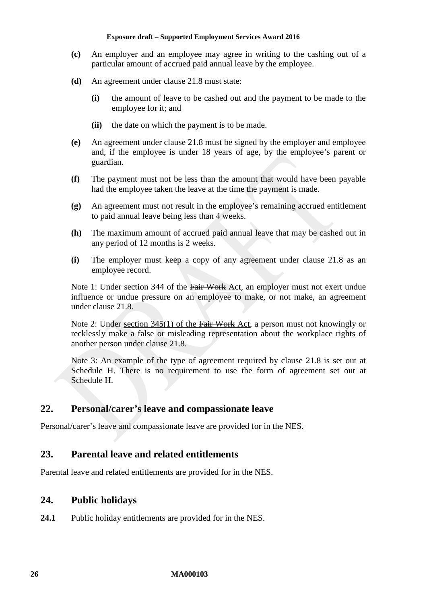- **(c)** An employer and an employee may agree in writing to the cashing out of a particular amount of accrued paid annual leave by the employee.
- **(d)** An agreement under clause [21.8](#page-24-1) must state:
	- **(i)** the amount of leave to be cashed out and the payment to be made to the employee for it; and
	- **(ii)** the date on which the payment is to be made.
- **(e)** An agreement under clause [21.8](#page-24-1) must be signed by the employer and employee and, if the employee is under 18 years of age, by the employee's parent or guardian.
- **(f)** The payment must not be less than the amount that would have been payable had the employee taken the leave at the time the payment is made.
- **(g)** An agreement must not result in the employee's remaining accrued entitlement to paid annual leave being less than 4 weeks.
- **(h)** The maximum amount of accrued paid annual leave that may be cashed out in any period of 12 months is 2 weeks.
- **(i)** The employer must keep a copy of any agreement under clause [21.8](#page-24-1) as an employee record.

Note 1: Under section 344 of the Fair Work Act, an employer must not exert undue influence or undue pressure on an employee to make, or not make, an agreement under clause [21.8.](#page-24-1)

Note 2: Under section 345(1) of the Fair Work Act, a person must not knowingly or recklessly make a false or misleading representation about the workplace rights of another person under clause [21.8.](#page-24-1)

Note 3: An example of the type of agreement required by clause [21.8](#page-24-1) is set out at [Schedule H.](#page-60-0) There is no requirement to use the form of agreement set out at [Schedule H.](#page-60-0)

# <span id="page-25-0"></span>**22. Personal/carer's leave and compassionate leave**

<span id="page-25-1"></span>Personal/carer's leave and compassionate leave are provided for in the NES.

# **23. Parental leave and related entitlements**

<span id="page-25-2"></span>Parental leave and related entitlements are provided for in the NES.

## **24. Public holidays**

**24.1** Public holiday entitlements are provided for in the NES.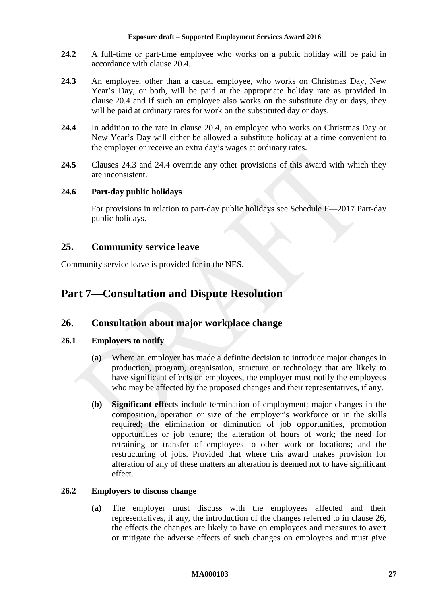- <span id="page-26-0"></span>**24.2** A full-time or part-time employee who works on a public holiday will be paid in accordance with clause [20.4.](#page-21-4)
- <span id="page-26-4"></span>**24.3** An employee, other than a casual employee, who works on Christmas Day, New Year's Day, or both, will be paid at the appropriate holiday rate as provided in clause [20.4](#page-21-4) and if such an employee also works on the substitute day or days, they will be paid at ordinary rates for work on the substituted day or days.
- <span id="page-26-5"></span>**24.4** In addition to the rate in clause [20.4,](#page-21-4) an employee who works on Christmas Day or New Year's Day will either be allowed a substitute holiday at a time convenient to the employer or receive an extra day's wages at ordinary rates.
- **24.5** Clauses [24.3](#page-26-4) and [24.4](#page-26-5) override any other provisions of this award with which they are inconsistent.

## **24.6 Part-day public holidays**

For provisions in relation to part-day public holidays see [Schedule F—](#page-56-0)2017 Part-day public holidays.

## <span id="page-26-1"></span>**25. Community service leave**

<span id="page-26-2"></span>Community service leave is provided for in the NES.

# <span id="page-26-3"></span>**Part 7—Consultation and Dispute Resolution**

## **26. Consultation about major workplace change**

#### **26.1 Employers to notify**

- **(a)** Where an employer has made a definite decision to introduce major changes in production, program, organisation, structure or technology that are likely to have significant effects on employees, the employer must notify the employees who may be affected by the proposed changes and their representatives, if any.
- **(b) Significant effects** include termination of employment; major changes in the composition, operation or size of the employer's workforce or in the skills required; the elimination or diminution of job opportunities, promotion opportunities or job tenure; the alteration of hours of work; the need for retraining or transfer of employees to other work or locations; and the restructuring of jobs. Provided that where this award makes provision for alteration of any of these matters an alteration is deemed not to have significant effect.

#### **26.2 Employers to discuss change**

**(a)** The employer must discuss with the employees affected and their representatives, if any, the introduction of the changes referred to in clause [26,](#page-26-3) the effects the changes are likely to have on employees and measures to avert or mitigate the adverse effects of such changes on employees and must give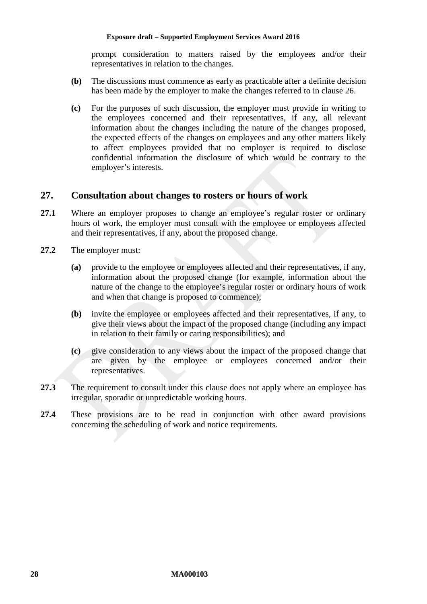prompt consideration to matters raised by the employees and/or their representatives in relation to the changes.

- **(b)** The discussions must commence as early as practicable after a definite decision has been made by the employer to make the changes referred to in clause [26.](#page-26-3)
- **(c)** For the purposes of such discussion, the employer must provide in writing to the employees concerned and their representatives, if any, all relevant information about the changes including the nature of the changes proposed, the expected effects of the changes on employees and any other matters likely to affect employees provided that no employer is required to disclose confidential information the disclosure of which would be contrary to the employer's interests.

## <span id="page-27-0"></span>**27. Consultation about changes to rosters or hours of work**

- **27.1** Where an employer proposes to change an employee's regular roster or ordinary hours of work, the employer must consult with the employee or employees affected and their representatives, if any, about the proposed change.
- **27.2** The employer must:
	- **(a)** provide to the employee or employees affected and their representatives, if any, information about the proposed change (for example, information about the nature of the change to the employee's regular roster or ordinary hours of work and when that change is proposed to commence);
	- **(b)** invite the employee or employees affected and their representatives, if any, to give their views about the impact of the proposed change (including any impact in relation to their family or caring responsibilities); and
	- **(c)** give consideration to any views about the impact of the proposed change that are given by the employee or employees concerned and/or their representatives.
- **27.3** The requirement to consult under this clause does not apply where an employee has irregular, sporadic or unpredictable working hours.
- **27.4** These provisions are to be read in conjunction with other award provisions concerning the scheduling of work and notice requirements.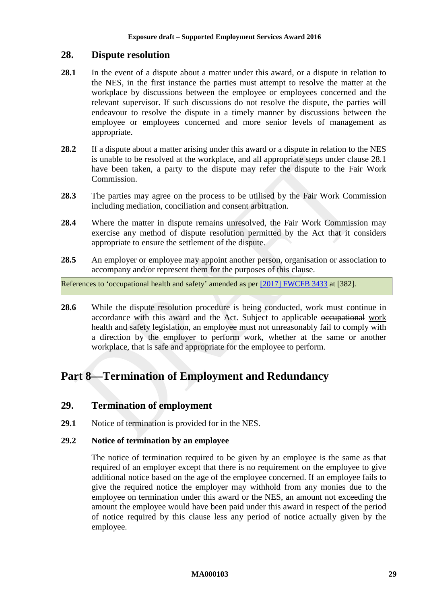## <span id="page-28-1"></span>**28. Dispute resolution**

- <span id="page-28-4"></span>28.1 In the event of a dispute about a matter under this award, or a dispute in relation to the NES, in the first instance the parties must attempt to resolve the matter at the workplace by discussions between the employee or employees concerned and the relevant supervisor. If such discussions do not resolve the dispute, the parties will endeavour to resolve the dispute in a timely manner by discussions between the employee or employees concerned and more senior levels of management as appropriate.
- 28.2 If a dispute about a matter arising under this award or a dispute in relation to the NES is unable to be resolved at the workplace, and all appropriate steps under clause [28.1](#page-28-4) have been taken, a party to the dispute may refer the dispute to the Fair Work Commission.
- **28.3** The parties may agree on the process to be utilised by the Fair Work Commission including mediation, conciliation and consent arbitration.
- <span id="page-28-5"></span>**28.4** Where the matter in dispute remains unresolved, the Fair Work Commission may exercise any method of dispute resolution permitted by the Act that it considers appropriate to ensure the settlement of the dispute.
- **28.5** An employer or employee may appoint another person, organisation or association to accompany and/or represent them for the purposes of this clause.

References to 'occupational health and safety' amended as per [\[2017\] FWCFB 3433](https://www.fwc.gov.au/documents/decisionssigned/html/2017fwcfb3433.htm) at [382].

<span id="page-28-0"></span>**28.6** While the dispute resolution procedure is being conducted, work must continue in accordance with this award and the Act. Subject to applicable occupational work health and safety legislation, an employee must not unreasonably fail to comply with a direction by the employer to perform work, whether at the same or another workplace, that is safe and appropriate for the employee to perform.

# <span id="page-28-3"></span><span id="page-28-2"></span>**Part 8—Termination of Employment and Redundancy**

## **29. Termination of employment**

**29.1** Notice of termination is provided for in the NES.

#### **29.2 Notice of termination by an employee**

The notice of termination required to be given by an employee is the same as that required of an employer except that there is no requirement on the employee to give additional notice based on the age of the employee concerned. If an employee fails to give the required notice the employer may withhold from any monies due to the employee on termination under this award or the NES, an amount not exceeding the amount the employee would have been paid under this award in respect of the period of notice required by this clause less any period of notice actually given by the employee.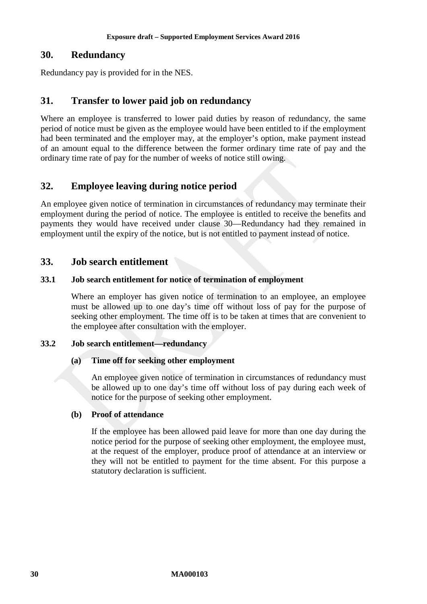# <span id="page-29-0"></span>**30. Redundancy**

<span id="page-29-1"></span>Redundancy pay is provided for in the NES.

# **31. Transfer to lower paid job on redundancy**

Where an employee is transferred to lower paid duties by reason of redundancy, the same period of notice must be given as the employee would have been entitled to if the employment had been terminated and the employer may, at the employer's option, make payment instead of an amount equal to the difference between the former ordinary time rate of pay and the ordinary time rate of pay for the number of weeks of notice still owing.

# <span id="page-29-2"></span>**32. Employee leaving during notice period**

An employee given notice of termination in circumstances of redundancy may terminate their employment during the period of notice. The employee is entitled to receive the benefits and payments they would have received under clause [30—Redundancy](#page-29-0) had they remained in employment until the expiry of the notice, but is not entitled to payment instead of notice.

# <span id="page-29-3"></span>**33. Job search entitlement**

## **33.1 Job search entitlement for notice of termination of employment**

Where an employer has given notice of termination to an employee, an employee must be allowed up to one day's time off without loss of pay for the purpose of seeking other employment. The time off is to be taken at times that are convenient to the employee after consultation with the employer.

## **33.2 Job search entitlement—redundancy**

#### **(a) Time off for seeking other employment**

An employee given notice of termination in circumstances of redundancy must be allowed up to one day's time off without loss of pay during each week of notice for the purpose of seeking other employment.

#### **(b) Proof of attendance**

If the employee has been allowed paid leave for more than one day during the notice period for the purpose of seeking other employment, the employee must, at the request of the employer, produce proof of attendance at an interview or they will not be entitled to payment for the time absent. For this purpose a statutory declaration is sufficient.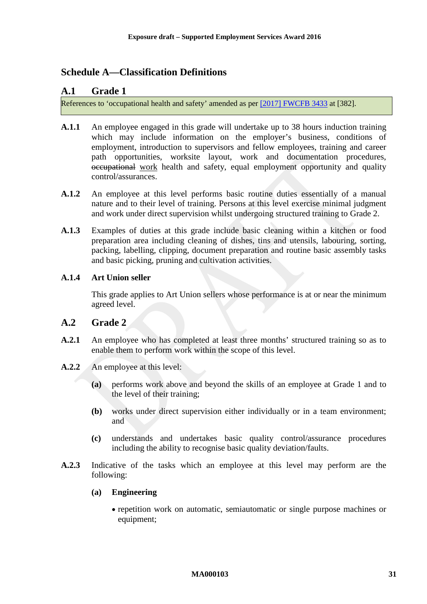# <span id="page-30-1"></span><span id="page-30-0"></span>**Schedule A—Classification Definitions**

## **A.1 Grade 1**

References to 'occupational health and safety' amended as pe[r \[2017\] FWCFB 3433](https://www.fwc.gov.au/documents/decisionssigned/html/2017fwcfb3433.htm) at [382].

- **A.1.1** An employee engaged in this grade will undertake up to 38 hours induction training which may include information on the employer's business, conditions of employment, introduction to supervisors and fellow employees, training and career path opportunities, worksite layout, work and documentation procedures, occupational work health and safety, equal employment opportunity and quality control/assurances.
- **A.1.2** An employee at this level performs basic routine duties essentially of a manual nature and to their level of training. Persons at this level exercise minimal judgment and work under direct supervision whilst undergoing structured training to Grade 2.
- **A.1.3** Examples of duties at this grade include basic cleaning within a kitchen or food preparation area including cleaning of dishes, tins and utensils, labouring, sorting, packing, labelling, clipping, document preparation and routine basic assembly tasks and basic picking, pruning and cultivation activities.

## **A.1.4 Art Union seller**

This grade applies to Art Union sellers whose performance is at or near the minimum agreed level.

# **A.2 Grade 2**

- **A.2.1** An employee who has completed at least three months' structured training so as to enable them to perform work within the scope of this level.
- **A.2.2** An employee at this level:
	- **(a)** performs work above and beyond the skills of an employee at Grade 1 and to the level of their training;
	- **(b)** works under direct supervision either individually or in a team environment; and
	- **(c)** understands and undertakes basic quality control/assurance procedures including the ability to recognise basic quality deviation/faults.
- **A.2.3** Indicative of the tasks which an employee at this level may perform are the following:

#### **(a) Engineering**

• repetition work on automatic, semiautomatic or single purpose machines or equipment: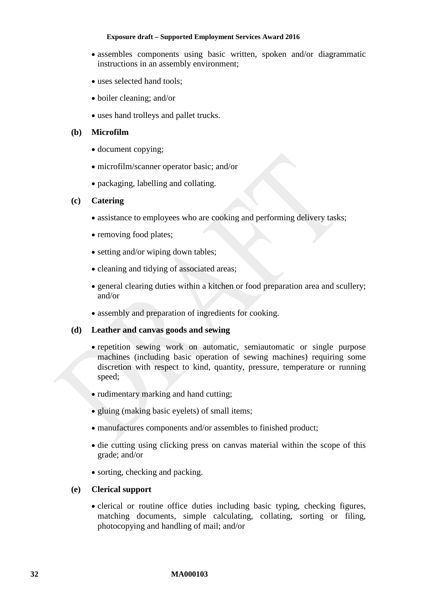- assembles components using basic written, spoken and/or diagrammatic instructions in an assembly environment;
- uses selected hand tools;
- boiler cleaning; and/or
- uses hand trolleys and pallet trucks.

## **(b) Microfilm**

- document copying;
- microfilm/scanner operator basic; and/or
- packaging, labelling and collating.

## **(c) Catering**

- assistance to employees who are cooking and performing delivery tasks;
- removing food plates;
- setting and/or wiping down tables;
- cleaning and tidying of associated areas;
- general clearing duties within a kitchen or food preparation area and scullery; and/or
- assembly and preparation of ingredients for cooking.

#### **(d) Leather and canvas goods and sewing**

- repetition sewing work on automatic, semiautomatic or single purpose machines (including basic operation of sewing machines) requiring some discretion with respect to kind, quantity, pressure, temperature or running speed;
- rudimentary marking and hand cutting;
- gluing (making basic eyelets) of small items;
- manufactures components and/or assembles to finished product;
- die cutting using clicking press on canvas material within the scope of this grade; and/or
- sorting, checking and packing.

## **(e) Clerical support**

• clerical or routine office duties including basic typing, checking figures, matching documents, simple calculating, collating, sorting or filing, photocopying and handling of mail; and/or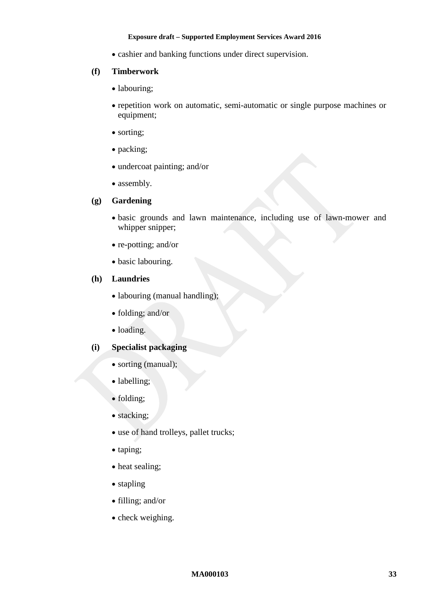• cashier and banking functions under direct supervision.

#### **(f) Timberwork**

- labouring;
- repetition work on automatic, semi-automatic or single purpose machines or equipment;
- sorting;
- packing;
- undercoat painting; and/or
- assembly.

## **(g) Gardening**

- basic grounds and lawn maintenance, including use of lawn-mower and whipper snipper;
- re-potting; and/or
- basic labouring.

## **(h) Laundries**

- labouring (manual handling);
- folding; and/or
- loading.

#### **(i) Specialist packaging**

- sorting (manual);
- labelling;
- folding;
- stacking;
- use of hand trolleys, pallet trucks;
- taping;
- heat sealing;
- stapling
- filling; and/or
- check weighing.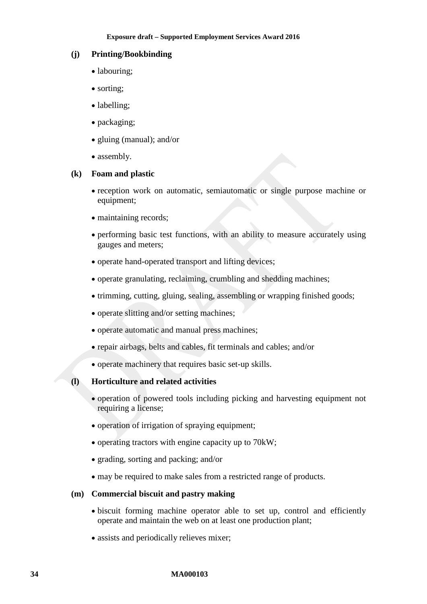#### **(j) Printing/Bookbinding**

- labouring:
- sorting;
- labelling;
- packaging;
- gluing (manual); and/or
- assembly.

#### **(k) Foam and plastic**

- reception work on automatic, semiautomatic or single purpose machine or equipment;
- maintaining records;
- performing basic test functions, with an ability to measure accurately using gauges and meters;
- operate hand-operated transport and lifting devices;
- operate granulating, reclaiming, crumbling and shedding machines;
- trimming, cutting, gluing, sealing, assembling or wrapping finished goods;
- operate slitting and/or setting machines;
- operate automatic and manual press machines;
- repair airbags, belts and cables, fit terminals and cables; and/or
- operate machinery that requires basic set-up skills.

#### **(l) Horticulture and related activities**

- operation of powered tools including picking and harvesting equipment not requiring a license;
- operation of irrigation of spraying equipment;
- operating tractors with engine capacity up to 70kW;
- grading, sorting and packing; and/or
- may be required to make sales from a restricted range of products.

#### **(m) Commercial biscuit and pastry making**

- biscuit forming machine operator able to set up, control and efficiently operate and maintain the web on at least one production plant;
- assists and periodically relieves mixer;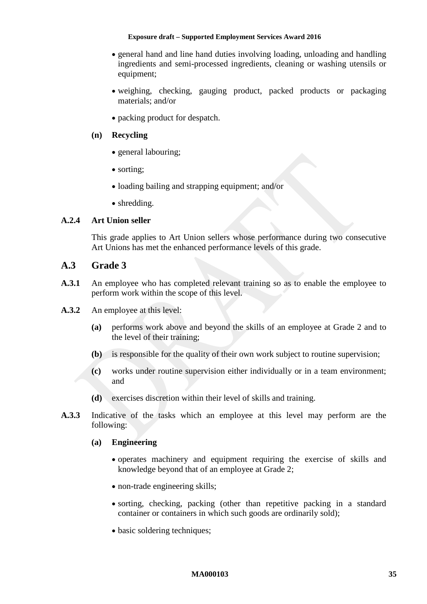- general hand and line hand duties involving loading, unloading and handling ingredients and semi-processed ingredients, cleaning or washing utensils or equipment;
- weighing, checking, gauging product, packed products or packaging materials; and/or
- packing product for despatch.

## **(n) Recycling**

- general labouring;
- sorting;
- loading bailing and strapping equipment; and/or
- shredding.

## **A.2.4 Art Union seller**

This grade applies to Art Union sellers whose performance during two consecutive Art Unions has met the enhanced performance levels of this grade.

# **A.3 Grade 3**

- **A.3.1** An employee who has completed relevant training so as to enable the employee to perform work within the scope of this level.
- **A.3.2** An employee at this level:
	- **(a)** performs work above and beyond the skills of an employee at Grade 2 and to the level of their training;
	- **(b)** is responsible for the quality of their own work subject to routine supervision;
	- **(c)** works under routine supervision either individually or in a team environment; and
	- **(d)** exercises discretion within their level of skills and training.
- **A.3.3** Indicative of the tasks which an employee at this level may perform are the following:

#### **(a) Engineering**

- operates machinery and equipment requiring the exercise of skills and knowledge beyond that of an employee at Grade 2;
- non-trade engineering skills;
- sorting, checking, packing (other than repetitive packing in a standard container or containers in which such goods are ordinarily sold);
- basic soldering techniques:

#### **MA000103 35**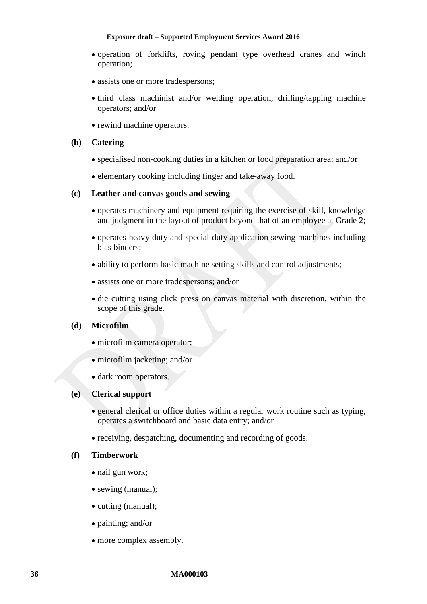- operation of forklifts, roving pendant type overhead cranes and winch operation;
- assists one or more tradespersons;
- third class machinist and/or welding operation, drilling/tapping machine operators; and/or
- rewind machine operators.

## **(b) Catering**

- specialised non-cooking duties in a kitchen or food preparation area; and/or
- elementary cooking including finger and take-away food.

## **(c) Leather and canvas goods and sewing**

- operates machinery and equipment requiring the exercise of skill, knowledge and judgment in the layout of product beyond that of an employee at Grade 2;
- operates heavy duty and special duty application sewing machines including bias binders;
- ability to perform basic machine setting skills and control adjustments;
- assists one or more tradespersons; and/or
- die cutting using click press on canvas material with discretion, within the scope of this grade.

## **(d) Microfilm**

- microfilm camera operator;
- microfilm jacketing; and/or
- dark room operators.

#### **(e) Clerical support**

- general clerical or office duties within a regular work routine such as typing, operates a switchboard and basic data entry; and/or
- receiving, despatching, documenting and recording of goods.

#### **(f) Timberwork**

- nail gun work;
- sewing (manual);
- cutting (manual);
- painting; and/or
- more complex assembly.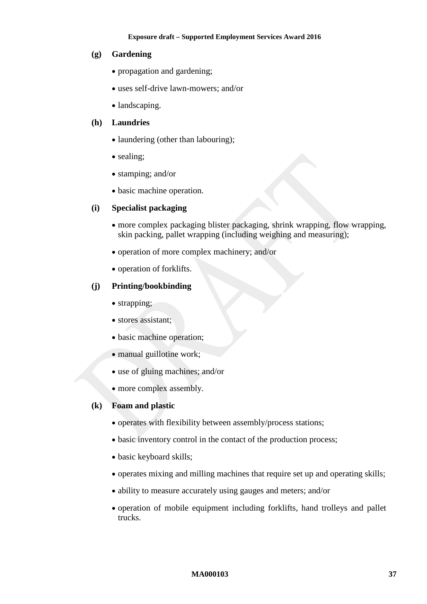#### **(g) Gardening**

- propagation and gardening;
- uses self-drive lawn-mowers; and/or
- landscaping.

#### **(h) Laundries**

- laundering (other than labouring);
- sealing;
- stamping; and/or
- basic machine operation.

#### **(i) Specialist packaging**

- more complex packaging blister packaging, shrink wrapping, flow wrapping, skin packing, pallet wrapping (including weighing and measuring);
- operation of more complex machinery; and/or
- operation of forklifts.

#### **(j) Printing/bookbinding**

- strapping;
- stores assistant;
- basic machine operation;
- manual guillotine work;
- use of gluing machines; and/or
- more complex assembly.

#### **(k) Foam and plastic**

- operates with flexibility between assembly/process stations;
- basic inventory control in the contact of the production process;
- basic keyboard skills;
- operates mixing and milling machines that require set up and operating skills;
- ability to measure accurately using gauges and meters; and/or
- operation of mobile equipment including forklifts, hand trolleys and pallet trucks.

#### **MA000103 37**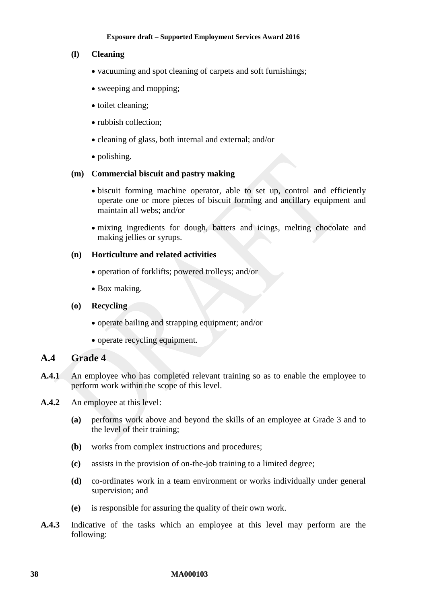#### **(l) Cleaning**

- vacuuming and spot cleaning of carpets and soft furnishings;
- sweeping and mopping;
- toilet cleaning;
- rubbish collection:
- cleaning of glass, both internal and external; and/or
- polishing.

#### **(m) Commercial biscuit and pastry making**

- biscuit forming machine operator, able to set up, control and efficiently operate one or more pieces of biscuit forming and ancillary equipment and maintain all webs; and/or
- mixing ingredients for dough, batters and icings, melting chocolate and making jellies or syrups.

## **(n) Horticulture and related activities**

- operation of forklifts; powered trolleys; and/or
- Box making.

#### **(o) Recycling**

- operate bailing and strapping equipment; and/or
- operate recycling equipment.

## **A.4 Grade 4**

- A.4.1 An employee who has completed relevant training so as to enable the employee to perform work within the scope of this level.
- **A.4.2** An employee at this level:
	- **(a)** performs work above and beyond the skills of an employee at Grade 3 and to the level of their training;
	- **(b)** works from complex instructions and procedures;
	- **(c)** assists in the provision of on-the-job training to a limited degree;
	- **(d)** co-ordinates work in a team environment or works individually under general supervision; and
	- **(e)** is responsible for assuring the quality of their own work.
- **A.4.3** Indicative of the tasks which an employee at this level may perform are the following: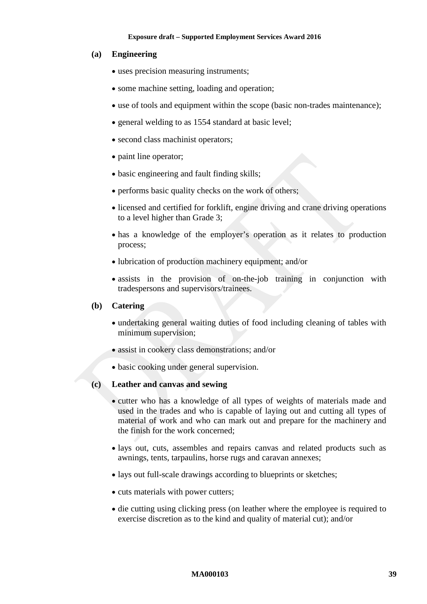#### **(a) Engineering**

- uses precision measuring instruments;
- some machine setting, loading and operation;
- use of tools and equipment within the scope (basic non-trades maintenance);
- general welding to as 1554 standard at basic level;
- second class machinist operators;
- paint line operator;
- basic engineering and fault finding skills;
- performs basic quality checks on the work of others;
- licensed and certified for forklift, engine driving and crane driving operations to a level higher than Grade 3;
- has a knowledge of the employer's operation as it relates to production process;
- lubrication of production machinery equipment; and/or
- assists in the provision of on-the-job training in conjunction with tradespersons and supervisors/trainees.

#### **(b) Catering**

- undertaking general waiting duties of food including cleaning of tables with minimum supervision;
- assist in cookery class demonstrations; and/or
- basic cooking under general supervision.

#### **(c) Leather and canvas and sewing**

- cutter who has a knowledge of all types of weights of materials made and used in the trades and who is capable of laying out and cutting all types of material of work and who can mark out and prepare for the machinery and the finish for the work concerned;
- lays out, cuts, assembles and repairs canvas and related products such as awnings, tents, tarpaulins, horse rugs and caravan annexes;
- lays out full-scale drawings according to blueprints or sketches;
- cuts materials with power cutters;
- die cutting using clicking press (on leather where the employee is required to exercise discretion as to the kind and quality of material cut); and/or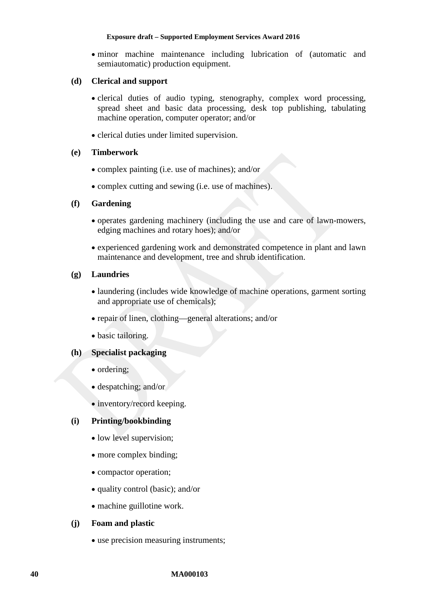• minor machine maintenance including lubrication of (automatic and semiautomatic) production equipment.

## **(d) Clerical and support**

- clerical duties of audio typing, stenography, complex word processing, spread sheet and basic data processing, desk top publishing, tabulating machine operation, computer operator; and/or
- clerical duties under limited supervision.

#### **(e) Timberwork**

- complex painting (i.e. use of machines); and/or
- complex cutting and sewing (i.e. use of machines).

## **(f) Gardening**

- operates gardening machinery (including the use and care of lawn-mowers, edging machines and rotary hoes); and/or
- experienced gardening work and demonstrated competence in plant and lawn maintenance and development, tree and shrub identification.

## **(g) Laundries**

- laundering (includes wide knowledge of machine operations, garment sorting and appropriate use of chemicals);
- repair of linen, clothing—general alterations; and/or
- basic tailoring.

## **(h) Specialist packaging**

- ordering;
- despatching; and/or
- inventory/record keeping.

## **(i) Printing/bookbinding**

- low level supervision;
- more complex binding;
- compactor operation;
- quality control (basic); and/or
- machine guillotine work.

## **(j) Foam and plastic**

• use precision measuring instruments;

#### **40 MA000103**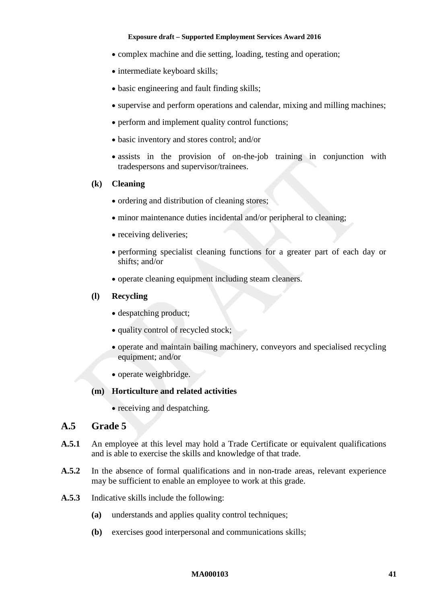- complex machine and die setting, loading, testing and operation;
- intermediate keyboard skills;
- basic engineering and fault finding skills;
- supervise and perform operations and calendar, mixing and milling machines;
- perform and implement quality control functions;
- basic inventory and stores control; and/or
- assists in the provision of on-the-job training in conjunction with tradespersons and supervisor/trainees.

#### **(k) Cleaning**

- ordering and distribution of cleaning stores;
- minor maintenance duties incidental and/or peripheral to cleaning;
- receiving deliveries;
- performing specialist cleaning functions for a greater part of each day or shifts; and/or
- operate cleaning equipment including steam cleaners.

#### **(l) Recycling**

- despatching product;
- quality control of recycled stock;
- operate and maintain bailing machinery, conveyors and specialised recycling equipment; and/or
- operate weighbridge.

#### **(m) Horticulture and related activities**

• receiving and despatching.

## **A.5 Grade 5**

- **A.5.1** An employee at this level may hold a Trade Certificate or equivalent qualifications and is able to exercise the skills and knowledge of that trade.
- **A.5.2** In the absence of formal qualifications and in non-trade areas, relevant experience may be sufficient to enable an employee to work at this grade.
- **A.5.3** Indicative skills include the following:
	- **(a)** understands and applies quality control techniques;
	- **(b)** exercises good interpersonal and communications skills;

#### **MA000103 41**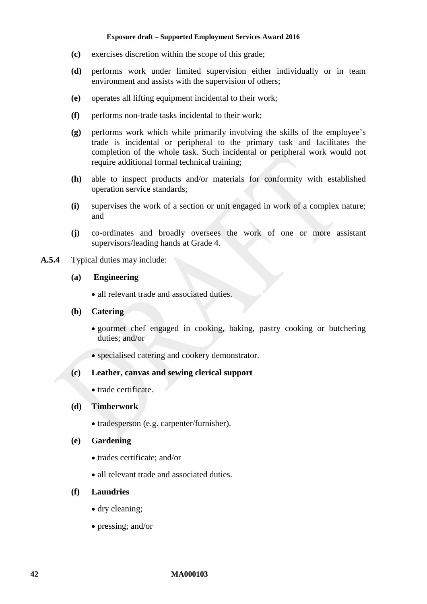- **(c)** exercises discretion within the scope of this grade;
- **(d)** performs work under limited supervision either individually or in team environment and assists with the supervision of others;
- **(e)** operates all lifting equipment incidental to their work;
- **(f)** performs non-trade tasks incidental to their work;
- **(g)** performs work which while primarily involving the skills of the employee's trade is incidental or peripheral to the primary task and facilitates the completion of the whole task. Such incidental or peripheral work would not require additional formal technical training;
- **(h)** able to inspect products and/or materials for conformity with established operation service standards;
- **(i)** supervises the work of a section or unit engaged in work of a complex nature; and
- **(j)** co-ordinates and broadly oversees the work of one or more assistant supervisors/leading hands at Grade 4.

#### **A.5.4** Typical duties may include:

#### **(a) Engineering**

• all relevant trade and associated duties.

#### **(b) Catering**

- gourmet chef engaged in cooking, baking, pastry cooking or butchering duties; and/or
- specialised catering and cookery demonstrator.

#### **(c) Leather, canvas and sewing clerical support**

• trade certificate.

#### **(d) Timberwork**

• tradesperson (e.g. carpenter/furnisher).

#### **(e) Gardening**

- trades certificate: and/or
- all relevant trade and associated duties.

## **(f) Laundries**

- dry cleaning;
- pressing; and/or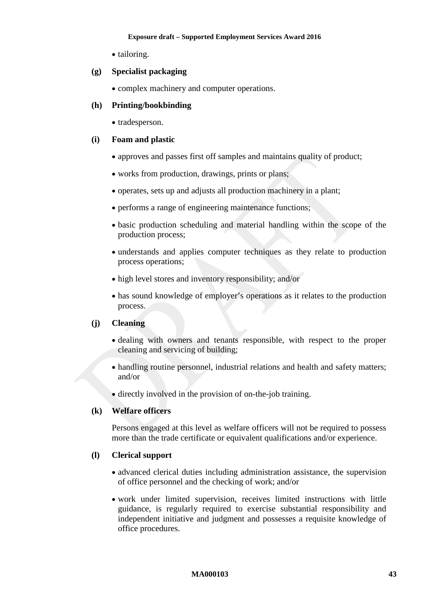• tailoring.

## **(g) Specialist packaging**

• complex machinery and computer operations.

## **(h) Printing/bookbinding**

• tradesperson.

## **(i) Foam and plastic**

- approves and passes first off samples and maintains quality of product;
- works from production, drawings, prints or plans;
- operates, sets up and adjusts all production machinery in a plant;
- performs a range of engineering maintenance functions;
- basic production scheduling and material handling within the scope of the production process;
- understands and applies computer techniques as they relate to production process operations;
- high level stores and inventory responsibility; and/or
- has sound knowledge of employer's operations as it relates to the production process.

## **(j) Cleaning**

- dealing with owners and tenants responsible, with respect to the proper cleaning and servicing of building;
- handling routine personnel, industrial relations and health and safety matters; and/or
- directly involved in the provision of on-the-job training.

## **(k) Welfare officers**

Persons engaged at this level as welfare officers will not be required to possess more than the trade certificate or equivalent qualifications and/or experience.

#### **(l) Clerical support**

- advanced clerical duties including administration assistance, the supervision of office personnel and the checking of work; and/or
- work under limited supervision, receives limited instructions with little guidance, is regularly required to exercise substantial responsibility and independent initiative and judgment and possesses a requisite knowledge of office procedures.

#### **MA000103 43**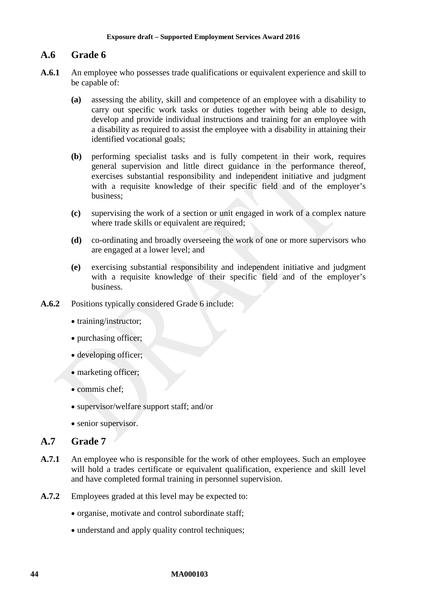# **A.6 Grade 6**

- **A.6.1** An employee who possesses trade qualifications or equivalent experience and skill to be capable of:
	- **(a)** assessing the ability, skill and competence of an employee with a disability to carry out specific work tasks or duties together with being able to design, develop and provide individual instructions and training for an employee with a disability as required to assist the employee with a disability in attaining their identified vocational goals;
	- **(b)** performing specialist tasks and is fully competent in their work, requires general supervision and little direct guidance in the performance thereof, exercises substantial responsibility and independent initiative and judgment with a requisite knowledge of their specific field and of the employer's business;
	- **(c)** supervising the work of a section or unit engaged in work of a complex nature where trade skills or equivalent are required;
	- **(d)** co-ordinating and broadly overseeing the work of one or more supervisors who are engaged at a lower level; and
	- **(e)** exercising substantial responsibility and independent initiative and judgment with a requisite knowledge of their specific field and of the employer's business.
- **A.6.2** Positions typically considered Grade 6 include:
	- training/instructor;
	- purchasing officer;
	- developing officer;
	- marketing officer;
	- commis chef:
	- supervisor/welfare support staff; and/or
	- senior supervisor.

## **A.7 Grade 7**

- **A.7.1** An employee who is responsible for the work of other employees. Such an employee will hold a trades certificate or equivalent qualification, experience and skill level and have completed formal training in personnel supervision.
- **A.7.2** Employees graded at this level may be expected to:
	- organise, motivate and control subordinate staff;
	- understand and apply quality control techniques;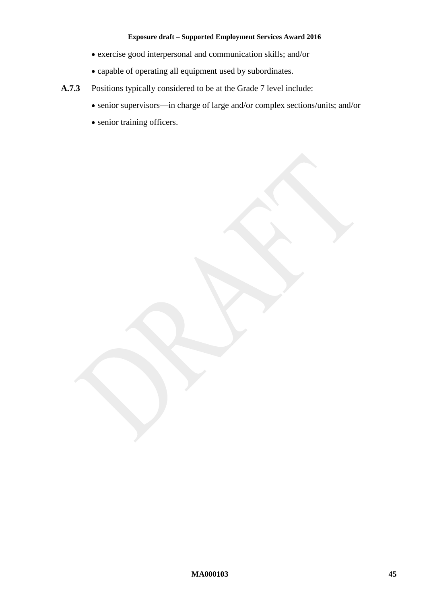- exercise good interpersonal and communication skills; and/or
- capable of operating all equipment used by subordinates.
- **A.7.3** Positions typically considered to be at the Grade 7 level include:
	- senior supervisors—in charge of large and/or complex sections/units; and/or
	- senior training officers.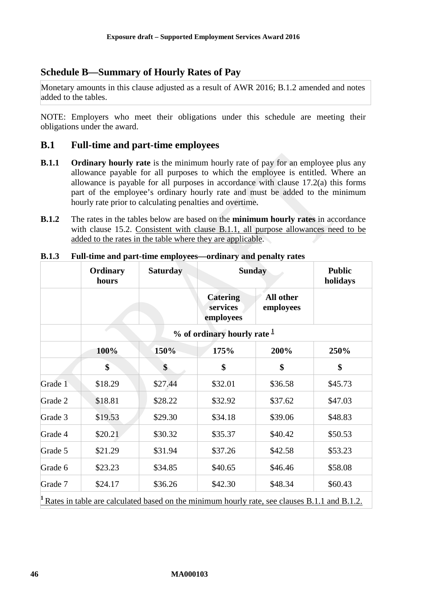# <span id="page-45-0"></span>**Schedule B—Summary of Hourly Rates of Pay**

Monetary amounts in this clause adjusted as a result of AWR 2016; B.1.2 amended and notes added to the tables.

NOTE: Employers who meet their obligations under this schedule are meeting their obligations under the award.

## **B.1 Full-time and part-time employees**

- <span id="page-45-1"></span>**B.1.1 Ordinary hourly rate** is the minimum hourly rate of pay for an employee plus any allowance payable for all purposes to which the employee is entitled. Where an allowance is payable for all purposes in accordance with clause [17.2\(a\)](#page-16-2) this forms part of the employee's ordinary hourly rate and must be added to the minimum hourly rate prior to calculating penalties and overtime.
- <span id="page-45-2"></span>**B.1.2** The rates in the tables below are based on the **minimum hourly rates** in accordance with clause [15.2.](#page-11-1) Consistent with clause [B.1.1,](#page-45-1) all purpose allowances need to be added to the rates in the table where they are applicable.

|         | Ordinary<br><b>Saturday</b><br>hours |         | <b>Sunday</b>                            |                        | <b>Public</b><br>holidays |
|---------|--------------------------------------|---------|------------------------------------------|------------------------|---------------------------|
|         |                                      |         | <b>Catering</b><br>services<br>employees | All other<br>employees |                           |
|         |                                      |         | $%$ of ordinary hourly rate $1$          |                        |                           |
|         | 100%                                 | 150%    | 175%                                     | 200%                   | 250%                      |
|         | \$                                   | \$      | \$                                       | \$                     | \$                        |
| Grade 1 | \$18.29                              | \$27.44 | \$32.01                                  | \$36.58                | \$45.73                   |
| Grade 2 | \$18.81                              | \$28.22 | \$32.92                                  | \$37.62                | \$47.03                   |
| Grade 3 | \$19.53                              | \$29.30 | \$34.18                                  | \$39.06                | \$48.83                   |
| Grade 4 | \$20.21                              | \$30.32 | \$35.37                                  | \$40.42                | \$50.53                   |
| Grade 5 | \$21.29                              | \$31.94 | \$37.26                                  | \$42.58                | \$53.23                   |
| Grade 6 | \$23.23                              | \$34.85 | \$40.65                                  | \$46.46                | \$58.08                   |
| Grade 7 | \$24.17                              | \$36.26 | \$42.30                                  | \$48.34                | \$60.43                   |

**B.1.3 Full-time and part-time employees—ordinary and penalty rates**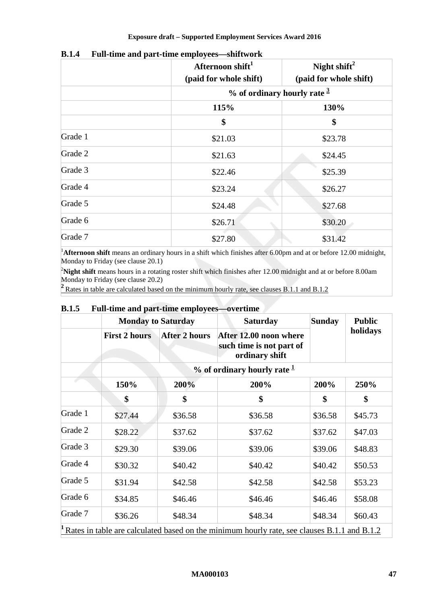|         | Afternoon shift <sup>1</sup><br>(paid for whole shift) | Night shift <sup>2</sup><br>(paid for whole shift) |
|---------|--------------------------------------------------------|----------------------------------------------------|
|         |                                                        | $%$ of ordinary hourly rate $\frac{3}{2}$          |
|         | 115%                                                   | 130%                                               |
|         | \$                                                     | \$                                                 |
| Grade 1 | \$21.03                                                | \$23.78                                            |
| Grade 2 | \$21.63                                                | \$24.45                                            |
| Grade 3 | \$22.46                                                | \$25.39                                            |
| Grade 4 | \$23.24                                                | \$26.27                                            |
| Grade 5 | \$24.48                                                | \$27.68                                            |
| Grade 6 | \$26.71                                                | \$30.20                                            |
| Grade 7 | \$27.80                                                | \$31.42                                            |

## **B.1.4 Full-time and part-time employees—shiftwork**

<sup>1</sup>Afternoon shift means an ordinary hours in a shift which finishes after 6.00pm and at or before 12.00 midnight, Monday to Friday (see clause [20.1\)](#page-21-5)

<sup>2</sup>Night shift means hours in a rotating roster shift which finishes after 12.00 midnight and at or before 8.00am Monday to Friday (see clause [20.2\)](#page-21-6)

**2** Rates in table are calculated based on the minimum hourly rate, see clauses [B.1.1](#page-45-1) and [B.1.2](#page-45-2)

|         | <b>Monday to Saturday</b> |                      | <b>Saturday</b>                                                      | <b>Sunday</b> | <b>Public</b> |
|---------|---------------------------|----------------------|----------------------------------------------------------------------|---------------|---------------|
|         | <b>First 2 hours</b>      | <b>After 2 hours</b> | After 12.00 noon where<br>such time is not part of<br>ordinary shift |               | holidays      |
|         |                           |                      | $\%$ of ordinary hourly rate $\frac{1}{2}$                           |               |               |
|         | 150%                      | 200%                 | 200%                                                                 | 200%          | 250%          |
|         | \$                        | \$                   | \$                                                                   | \$            | \$            |
| Grade 1 | \$27.44                   | \$36.58              | \$36.58                                                              | \$36.58       | \$45.73       |
| Grade 2 | \$28.22                   | \$37.62              | \$37.62                                                              | \$37.62       | \$47.03       |
| Grade 3 | \$29.30                   | \$39.06              | \$39.06                                                              | \$39.06       | \$48.83       |
| Grade 4 | \$30.32                   | \$40.42              | \$40.42                                                              | \$40.42       | \$50.53       |
| Grade 5 | \$31.94                   | \$42.58              | \$42.58                                                              | \$42.58       | \$53.23       |
| Grade 6 | \$34.85                   | \$46.46              | \$46.46                                                              | \$46.46       | \$58.08       |
| Grade 7 | \$36.26                   | \$48.34              | \$48.34                                                              | \$48.34       | \$60.43       |

# **B.1.5 Full-time and part-time employees—overtime**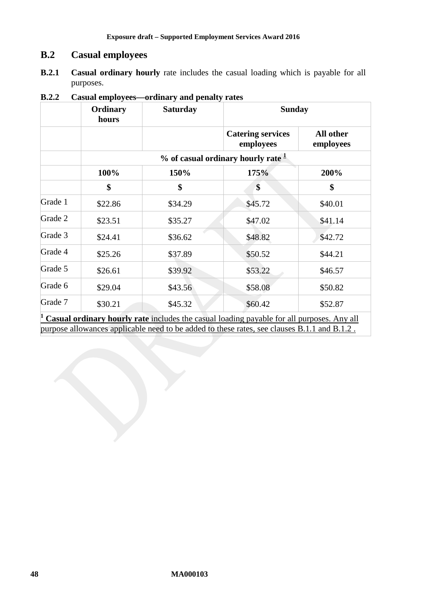# **B.2 Casual employees**

**B.2.1 Casual ordinary hourly** rate includes the casual loading which is payable for all purposes.

|         | Ordinary<br>hours | <b>Saturday</b> | <b>Sunday</b>                          |                        |  |
|---------|-------------------|-----------------|----------------------------------------|------------------------|--|
|         |                   |                 | <b>Catering services</b><br>employees  | All other<br>employees |  |
|         |                   |                 | $%$ of casual ordinary hourly rate $1$ |                        |  |
|         | 100%              | 150%            | 175%                                   | 200%                   |  |
|         | \$                | \$              | \$                                     | \$                     |  |
| Grade 1 | \$22.86           | \$34.29         | \$45.72                                | \$40.01                |  |
| Grade 2 | \$23.51           | \$35.27         | \$47.02                                | \$41.14                |  |
| Grade 3 | \$24.41           | \$36.62         | \$48.82                                | \$42.72                |  |
| Grade 4 | \$25.26           | \$37.89         | \$50.52                                | \$44.21                |  |
| Grade 5 | \$26.61           | \$39.92         | \$53.22                                | \$46.57                |  |
| Grade 6 | \$29.04           | \$43.56         | \$58.08                                | \$50.82                |  |
| Grade 7 | \$30.21           | \$45.32         | \$60.42                                | \$52.87                |  |

# **B.2.2 Casual employees—ordinary and penalty rates**

purpose allowances applicable need to be added to these rates, see clauses [B.1.1](#page-45-1) and [B.1.2](#page-45-2) .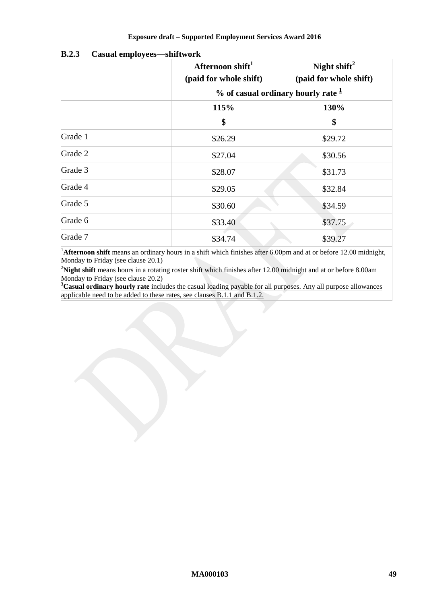|         | Afternoon shift <sup>1</sup><br>(paid for whole shift) | Night shift <sup>2</sup><br>(paid for whole shift) |
|---------|--------------------------------------------------------|----------------------------------------------------|
|         | $\%$ of casual ordinary hourly rate $\frac{1}{1}$      |                                                    |
|         | 115%                                                   | 130%                                               |
|         | \$                                                     | \$                                                 |
| Grade 1 | \$26.29                                                | \$29.72                                            |
| Grade 2 | \$27.04                                                | \$30.56                                            |
| Grade 3 | \$28.07                                                | \$31.73                                            |
| Grade 4 | \$29.05                                                | \$32.84                                            |
| Grade 5 | \$30.60                                                | \$34.59                                            |
| Grade 6 | \$33.40                                                | \$37.75                                            |
| Grade 7 | \$34.74                                                | \$39.27                                            |

## **B.2.3 Casual employees—shiftwork**

<sup>1</sup>Afternoon shift means an ordinary hours in a shift which finishes after 6.00pm and at or before 12.00 midnight, Monday to Friday (see clause [20.1\)](#page-21-5)

<sup>2</sup>Night shift means hours in a rotating roster shift which finishes after 12.00 midnight and at or before 8.00am Monday to Friday (see clause [20.2\)](#page-21-6)

<sup>3</sup>Casual ordinary hourly rate includes the casual loading payable for all purposes. Any all purpose allowances applicable need to be added to these rates, see clauses [B.1.1](#page-45-1) and [B.1.2.](#page-45-2)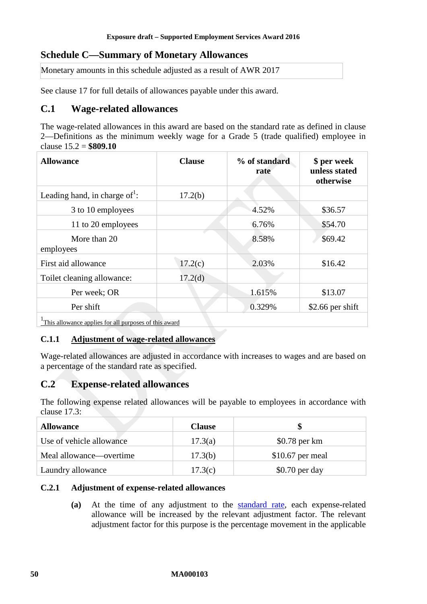# <span id="page-49-0"></span>**Schedule C—Summary of Monetary Allowances**

|  |  | Monetary amounts in this schedule adjusted as a result of AWR 2017 |
|--|--|--------------------------------------------------------------------|
|  |  |                                                                    |

See clause [17](#page-16-0) for full details of allowances payable under this award.

# **C.1 Wage-related allowances**

The wage-related allowances in this award are based on the standard rate as defined in clause [2—Definitions](#page-4-1) as the minimum weekly wage for a Grade 5 (trade qualified) employee in clause [15.2](#page-11-1) = **\$809.10**

| <b>Allowance</b>                                      | <b>Clause</b> | % of standard<br>rate | \$ per week<br>unless stated<br>otherwise |
|-------------------------------------------------------|---------------|-----------------------|-------------------------------------------|
| Leading hand, in charge of $^1$ :                     | 17.2(b)       |                       |                                           |
| 3 to 10 employees                                     |               | 4.52%                 | \$36.57                                   |
| 11 to 20 employees                                    |               | 6.76%                 | \$54.70                                   |
| More than 20<br>employees                             |               | 8.58%                 | \$69.42                                   |
| First aid allowance                                   | 17.2(c)       | 2.03%                 | \$16.42                                   |
| Toilet cleaning allowance:                            | 17.2(d)       |                       |                                           |
| Per week; OR                                          |               | 1.615%                | \$13.07                                   |
| Per shift                                             |               | 0.329%                | $$2.66$ per shift                         |
| This allowance applies for all purposes of this award |               |                       |                                           |

## **C.1.1 Adjustment of wage-related allowances**

Wage-related allowances are adjusted in accordance with increases to wages and are based on a percentage of the standard rate as specified.

# **C.2 Expense-related allowances**

The following expense related allowances will be payable to employees in accordance with clause [17.3:](#page-16-5)

| <b>Allowance</b>         | <b>Clause</b> |                   |
|--------------------------|---------------|-------------------|
| Use of vehicle allowance | 17.3(a)       | \$0.78 per km     |
| Meal allowance—overtime  | 17.3(b)       | $$10.67$ per meal |
| Laundry allowance        | 17.3(c)       | $$0.70$ per day   |

## **C.2.1 Adjustment of expense-related allowances**

**(a)** At the time of any adjustment to the [standard rate,](#page-5-3) each expense-related allowance will be increased by the relevant adjustment factor. The relevant adjustment factor for this purpose is the percentage movement in the applicable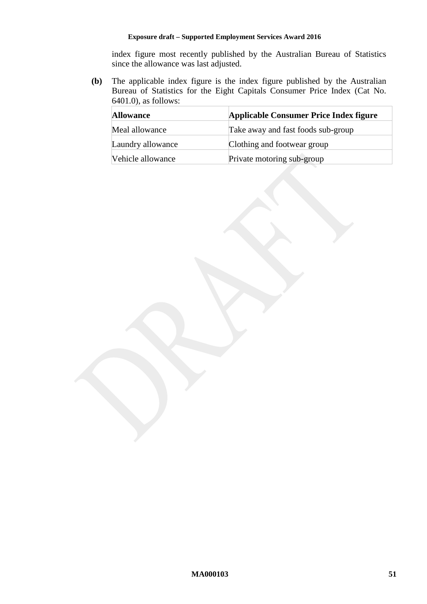index figure most recently published by the Australian Bureau of Statistics since the allowance was last adjusted.

**(b)** The applicable index figure is the index figure published by the Australian Bureau of Statistics for the Eight Capitals Consumer Price Index (Cat No. 6401.0), as follows:

| <b>Allowance</b>  | Applicable Consumer Price Index figure |
|-------------------|----------------------------------------|
| Meal allowance    | Take away and fast foods sub-group     |
| Laundry allowance | Clothing and footwear group            |
| Vehicle allowance | Private motoring sub-group             |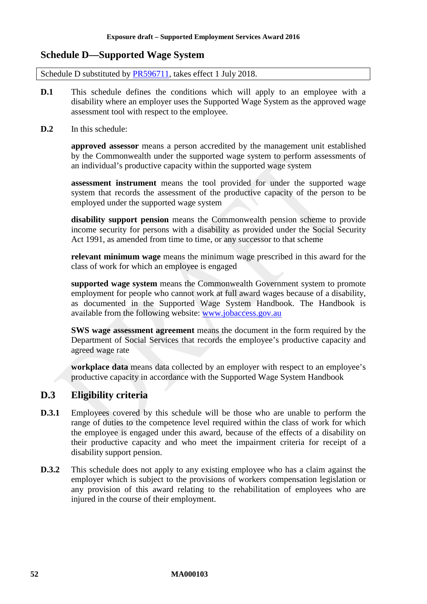# <span id="page-51-0"></span>**Schedule D—Supported Wage System**

Schedule D substituted by [PR596711,](https://www.fwc.gov.au/documents/awardsandorders/html/pr596711.htm) takes effect 1 July 2018.

- **D.1** This schedule defines the conditions which will apply to an employee with a disability where an employer uses the Supported Wage System as the approved wage assessment tool with respect to the employee.
- **D.2** In this schedule:

**approved assessor** means a person accredited by the management unit established by the Commonwealth under the supported wage system to perform assessments of an individual's productive capacity within the supported wage system

**assessment instrument** means the tool provided for under the supported wage system that records the assessment of the productive capacity of the person to be employed under the supported wage system

**disability support pension** means the Commonwealth pension scheme to provide income security for persons with a disability as provided under the Social Security Act 1991, as amended from time to time, or any successor to that scheme

**relevant minimum wage** means the minimum wage prescribed in this award for the class of work for which an employee is engaged

**supported wage system** means the Commonwealth Government system to promote employment for people who cannot work at full award wages because of a disability, as documented in the Supported Wage System Handbook. The Handbook is available from the following website: [www.jobaccess.gov.au](http://www.jobaccess.gov.au/)

**SWS wage assessment agreement** means the document in the form required by the Department of Social Services that records the employee's productive capacity and agreed wage rate

**workplace data** means data collected by an employer with respect to an employee's productive capacity in accordance with the Supported Wage System Handbook

# **D.3 Eligibility criteria**

- **D.3.1** Employees covered by this schedule will be those who are unable to perform the range of duties to the competence level required within the class of work for which the employee is engaged under this award, because of the effects of a disability on their productive capacity and who meet the impairment criteria for receipt of a disability support pension.
- **D.3.2** This schedule does not apply to any existing employee who has a claim against the employer which is subject to the provisions of workers compensation legislation or any provision of this award relating to the rehabilitation of employees who are injured in the course of their employment.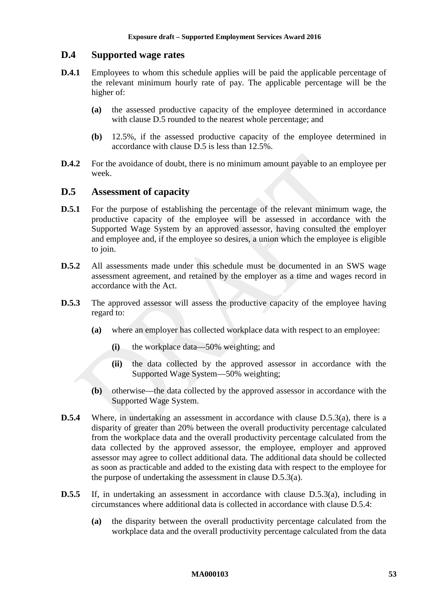# <span id="page-52-4"></span>**D.4 Supported wage rates**

- <span id="page-52-5"></span>**D.4.1** Employees to whom this schedule applies will be paid the applicable percentage of the relevant minimum hourly rate of pay. The applicable percentage will be the higher of:
	- **(a)** the assessed productive capacity of the employee determined in accordance with clause [D.5](#page-52-0) rounded to the nearest whole percentage; and
	- **(b)** 12.5%, if the assessed productive capacity of the employee determined in accordance with clause [D.5](#page-52-0) is less than 12.5%.
- **D.4.2** For the avoidance of doubt, there is no minimum amount payable to an employee per week.

## <span id="page-52-0"></span>**D.5 Assessment of capacity**

- **D.5.1** For the purpose of establishing the percentage of the relevant minimum wage, the productive capacity of the employee will be assessed in accordance with the Supported Wage System by an approved assessor, having consulted the employer and employee and, if the employee so desires, a union which the employee is eligible to *ioin*.
- **D.5.2** All assessments made under this schedule must be documented in an SWS wage assessment agreement, and retained by the employer as a time and wages record in accordance with the Act.
- <span id="page-52-1"></span>**D.5.3** The approved assessor will assess the productive capacity of the employee having regard to:
	- **(a)** where an employer has collected workplace data with respect to an employee:
		- **(i)** the workplace data—50% weighting; and
		- **(ii)** the data collected by the approved assessor in accordance with the Supported Wage System—50% weighting;
	- **(b)** otherwise—the data collected by the approved assessor in accordance with the Supported Wage System.
- <span id="page-52-3"></span><span id="page-52-2"></span>**D.5.4** Where, in undertaking an assessment in accordance with clause [D.5.3\(a\),](#page-52-1) there is a disparity of greater than 20% between the overall productivity percentage calculated from the workplace data and the overall productivity percentage calculated from the data collected by the approved assessor, the employee, employer and approved assessor may agree to collect additional data. The additional data should be collected as soon as practicable and added to the existing data with respect to the employee for the purpose of undertaking the assessment in clause [D.5.3\(a\).](#page-52-1)
- **D.5.5** If, in undertaking an assessment in accordance with clause [D.5.3\(a\),](#page-52-1) including in circumstances where additional data is collected in accordance with clause [D.5.4:](#page-52-2)
	- **(a)** the disparity between the overall productivity percentage calculated from the workplace data and the overall productivity percentage calculated from the data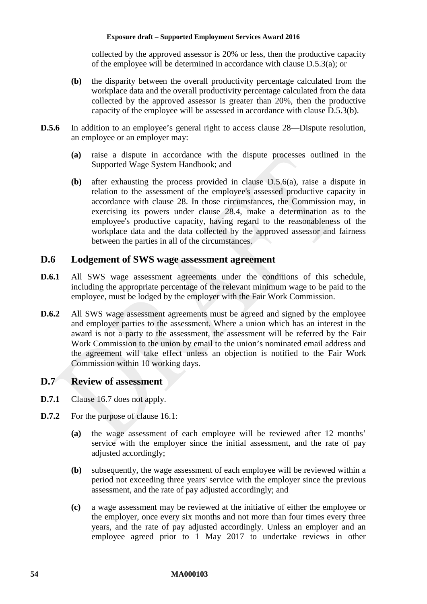collected by the approved assessor is 20% or less, then the productive capacity of the employee will be determined in accordance with clause [D.5.3\(a\);](#page-52-1) or

- **(b)** the disparity between the overall productivity percentage calculated from the workplace data and the overall productivity percentage calculated from the data collected by the approved assessor is greater than 20%, then the productive capacity of the employee will be assessed in accordance with clause [D.5.3\(b\).](#page-52-3)
- <span id="page-53-0"></span>**D.5.6** In addition to an employee's general right to access clause [28—](#page-28-1)Dispute resolution, an employee or an employer may:
	- **(a)** raise a dispute in accordance with the dispute processes outlined in the Supported Wage System Handbook; and
	- **(b)** after exhausting the process provided in clause [D.5.6\(a\),](#page-53-0) raise a dispute in relation to the assessment of the employee's assessed productive capacity in accordance with clause [28.](#page-28-1) In those circumstances, the Commission may, in exercising its powers under clause [28.4,](#page-28-5) make a determination as to the employee's productive capacity, having regard to the reasonableness of the workplace data and the data collected by the approved assessor and fairness between the parties in all of the circumstances.

## **D.6 Lodgement of SWS wage assessment agreement**

- **D.6.1** All SWS wage assessment agreements under the conditions of this schedule, including the appropriate percentage of the relevant minimum wage to be paid to the employee, must be lodged by the employer with the Fair Work Commission.
- **D.6.2** All SWS wage assessment agreements must be agreed and signed by the employee and employer parties to the assessment. Where a union which has an interest in the award is not a party to the assessment, the assessment will be referred by the Fair Work Commission to the union by email to the union's nominated email address and the agreement will take effect unless an objection is notified to the Fair Work Commission within 10 working days.

## **D.7 Review of assessment**

- **D.7.1** Clause [16.7](#page-15-1) does not apply.
- **D.7.2** For the purpose of clause [16.1:](#page-13-5)
	- **(a)** the wage assessment of each employee will be reviewed after 12 months' service with the employer since the initial assessment, and the rate of pay adjusted accordingly;
	- **(b)** subsequently, the wage assessment of each employee will be reviewed within a period not exceeding three years' service with the employer since the previous assessment, and the rate of pay adjusted accordingly; and
	- **(c)** a wage assessment may be reviewed at the initiative of either the employee or the employer, once every six months and not more than four times every three years, and the rate of pay adjusted accordingly. Unless an employer and an employee agreed prior to 1 May 2017 to undertake reviews in other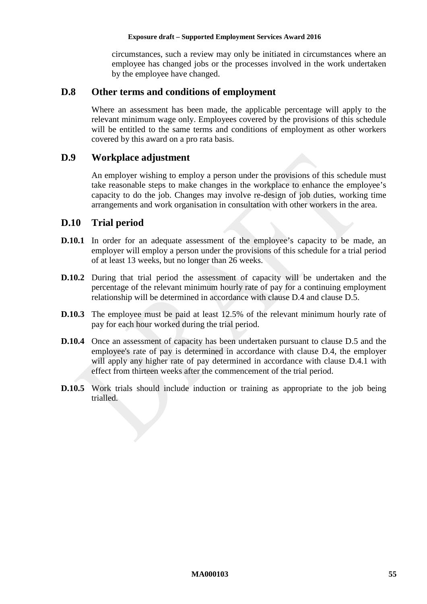circumstances, such a review may only be initiated in circumstances where an employee has changed jobs or the processes involved in the work undertaken by the employee have changed.

## **D.8 Other terms and conditions of employment**

Where an assessment has been made, the applicable percentage will apply to the relevant minimum wage only. Employees covered by the provisions of this schedule will be entitled to the same terms and conditions of employment as other workers covered by this award on a pro rata basis.

## **D.9 Workplace adjustment**

An employer wishing to employ a person under the provisions of this schedule must take reasonable steps to make changes in the workplace to enhance the employee's capacity to do the job. Changes may involve re-design of job duties, working time arrangements and work organisation in consultation with other workers in the area.

## **D.10 Trial period**

- **D.10.1** In order for an adequate assessment of the employee's capacity to be made, an employer will employ a person under the provisions of this schedule for a trial period of at least 13 weeks, but no longer than 26 weeks.
- **D.10.2** During that trial period the assessment of capacity will be undertaken and the percentage of the relevant minimum hourly rate of pay for a continuing employment relationship will be determined in accordance with clause [D.4](#page-52-4) and clause [D.5.](#page-52-0)
- **D.10.3** The employee must be paid at least 12.5% of the relevant minimum hourly rate of pay for each hour worked during the trial period.
- **D.10.4** Once an assessment of capacity has been undertaken pursuant to clause [D.5](#page-52-0) and the employee's rate of pay is determined in accordance with clause [D.4,](#page-52-4) the employer will apply any higher rate of pay determined in accordance with clause [D.4.1](#page-52-5) with effect from thirteen weeks after the commencement of the trial period.
- **D.10.5** Work trials should include induction or training as appropriate to the job being trialled.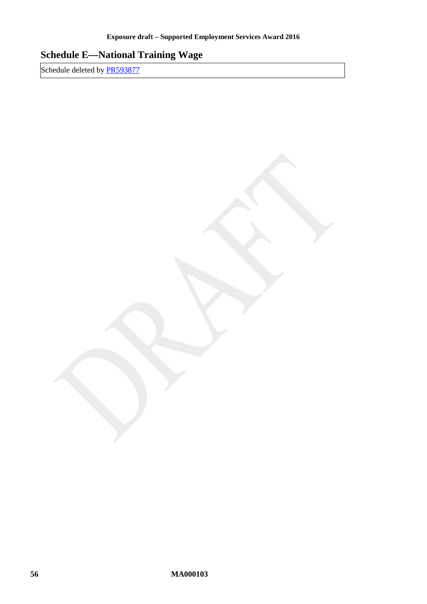# <span id="page-55-0"></span>**Schedule E—National Training Wage**

Schedule deleted by [PR593877](http://www.fwc.gov.au/awardsandorders/html/PR593877.htm)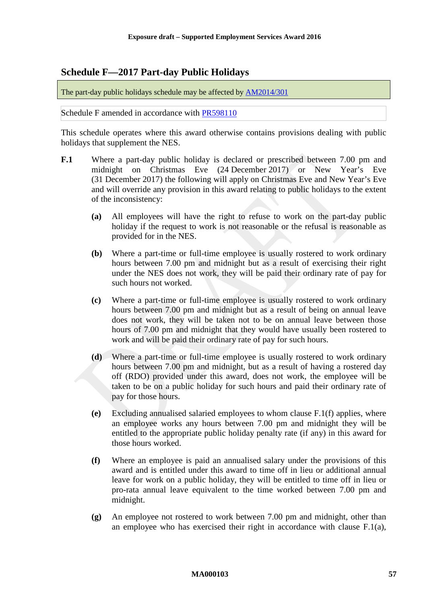# <span id="page-56-0"></span>**Schedule F—2017 Part-day Public Holidays**

The part-day public holidays schedule may be affected by [AM2014/301](https://www.fwc.gov.au/awards-and-agreements/modern-award-reviews/4-yearly-review/common-issues/am2014301-public-holidays)

Schedule F amended in accordance with [PR598110](http://www.fwc.gov.au/awardsandorders/html/pr598110.htm)

This schedule operates where this award otherwise contains provisions dealing with public holidays that supplement the NES.

- <span id="page-56-2"></span><span id="page-56-1"></span>**F.1** Where a part-day public holiday is declared or prescribed between 7.00 pm and midnight on Christmas Eve (24 December 2017) or New Year's Eve (31 December 2017) the following will apply on Christmas Eve and New Year's Eve and will override any provision in this award relating to public holidays to the extent of the inconsistency:
	- **(a)** All employees will have the right to refuse to work on the part-day public holiday if the request to work is not reasonable or the refusal is reasonable as provided for in the NES.
	- **(b)** Where a part-time or full-time employee is usually rostered to work ordinary hours between 7.00 pm and midnight but as a result of exercising their right under the NES does not work, they will be paid their ordinary rate of pay for such hours not worked.
	- **(c)** Where a part-time or full-time employee is usually rostered to work ordinary hours between 7.00 pm and midnight but as a result of being on annual leave does not work, they will be taken not to be on annual leave between those hours of 7.00 pm and midnight that they would have usually been rostered to work and will be paid their ordinary rate of pay for such hours.
	- **(d)** Where a part-time or full-time employee is usually rostered to work ordinary hours between 7.00 pm and midnight, but as a result of having a rostered day off (RDO) provided under this award, does not work, the employee will be taken to be on a public holiday for such hours and paid their ordinary rate of pay for those hours.
	- **(e)** Excluding annualised salaried employees to whom clause [F.1\(f\)](#page-56-1) applies, where an employee works any hours between 7.00 pm and midnight they will be entitled to the appropriate public holiday penalty rate (if any) in this award for those hours worked.
	- **(f)** Where an employee is paid an annualised salary under the provisions of this award and is entitled under this award to time off in lieu or additional annual leave for work on a public holiday, they will be entitled to time off in lieu or pro-rata annual leave equivalent to the time worked between 7.00 pm and midnight.
	- **(g)** An employee not rostered to work between 7.00 pm and midnight, other than an employee who has exercised their right in accordance with clause  $F(1(a))$ ,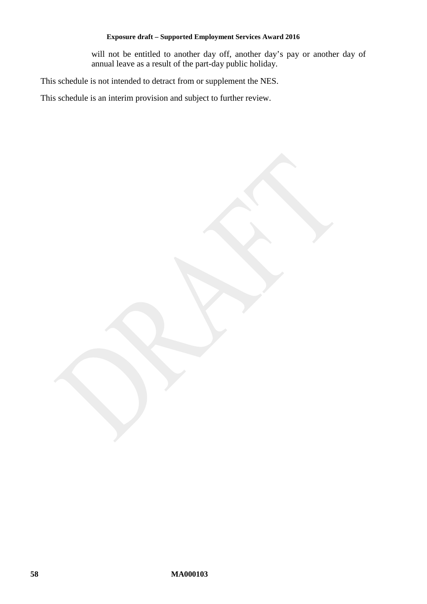will not be entitled to another day off, another day's pay or another day of annual leave as a result of the part-day public holiday.

This schedule is not intended to detract from or supplement the NES.

This schedule is an interim provision and subject to further review.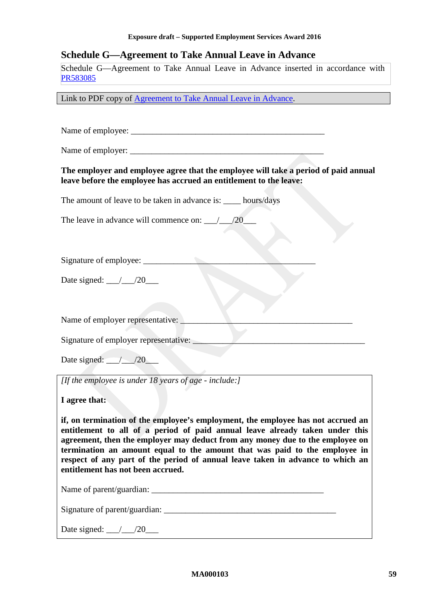# <span id="page-58-0"></span>**Schedule G—Agreement to Take Annual Leave in Advance**

Schedule G—Agreement to Take Annual Leave in Advance inserted in accordance with [PR583085](https://www.fwc.gov.au/documents/awardsandorders/html/pr583085.htm)

Link to PDF copy of [Agreement to Take Annual Leave in Advance.](http://www.fwc.gov.au/documents/documents/modern_awards/leave-in-advance-agreement.pdf)

Name of employee: \_\_\_\_\_\_\_\_\_\_\_\_\_\_\_\_\_\_\_\_\_\_\_\_\_\_\_\_\_\_\_\_\_\_\_\_\_\_\_\_\_\_\_\_\_

Name of employer: \_\_\_\_\_\_\_\_\_\_\_\_\_\_\_\_\_\_\_\_\_\_\_\_\_\_\_\_\_\_\_\_\_\_\_\_\_\_\_\_\_\_\_\_\_

**The employer and employee agree that the employee will take a period of paid annual leave before the employee has accrued an entitlement to the leave:**

The amount of leave to be taken in advance is: \_\_\_\_\_ hours/days

The leave in advance will commence on: \_\_\_/\_\_\_/20\_\_\_\_

Signature of employee:

Date signed:  $\frac{\ }{\ }$  /20

Name of employer representative:

Signature of employer representative:

Date signed:  $\frac{1}{20}$ 

*[If the employee is under 18 years of age - include:]*

**I agree that:**

**if, on termination of the employee's employment, the employee has not accrued an entitlement to all of a period of paid annual leave already taken under this agreement, then the employer may deduct from any money due to the employee on termination an amount equal to the amount that was paid to the employee in respect of any part of the period of annual leave taken in advance to which an entitlement has not been accrued.**

Name of parent/guardian:

Signature of parent/guardian: \_\_\_\_\_\_\_\_\_\_\_\_\_\_\_\_\_\_\_\_\_\_\_\_\_\_\_\_\_\_\_\_\_\_\_\_\_\_\_\_

| Date signed: | /20 |
|--------------|-----|
|--------------|-----|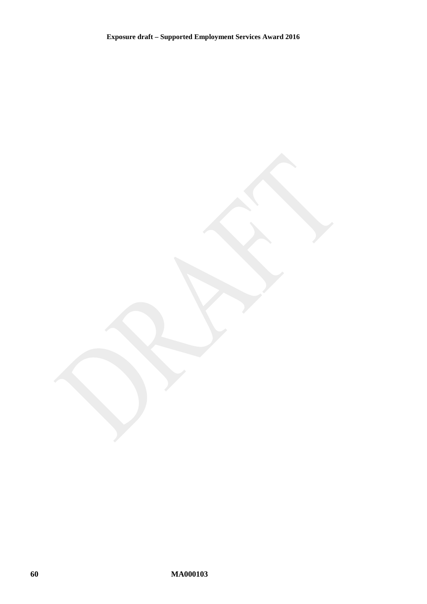**60 MA000103**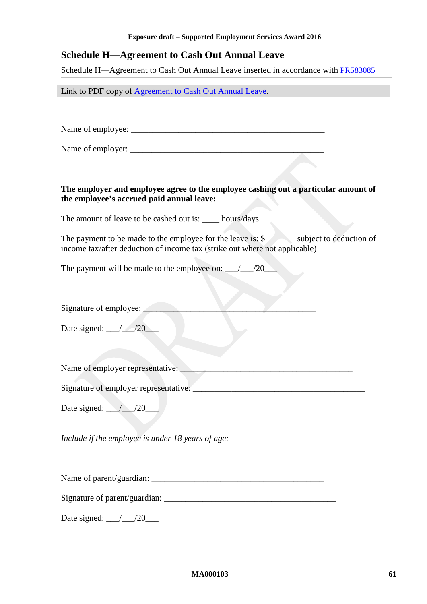# <span id="page-60-0"></span>**Schedule H—Agreement to Cash Out Annual Leave**

Schedule H—Agreement to Cash Out Annual Leave inserted in accordance with [PR583085](https://www.fwc.gov.au/documents/awardsandorders/html/pr583085.htm)

Link to PDF copy of [Agreement to Cash Out Annual Leave.](http://www.fwc.gov.au/documents/documents/modern_awards/cash-out-agreement.pdf)

Name of employee: \_\_\_\_\_\_\_\_\_\_\_\_\_\_\_\_\_\_\_\_\_\_\_\_\_\_\_\_\_\_\_\_\_\_\_\_\_\_\_\_\_\_\_\_\_

Name of employer: \_\_\_\_\_\_\_\_\_\_\_\_\_\_\_\_\_\_\_\_\_\_\_\_\_\_\_\_\_\_\_\_\_\_\_\_\_\_\_\_\_\_\_\_\_

#### **The employer and employee agree to the employee cashing out a particular amount of the employee's accrued paid annual leave:**

The amount of leave to be cashed out is: hours/days

The payment to be made to the employee for the leave is: \$\_\_\_\_\_\_\_\_ subject to deduction of income tax/after deduction of income tax (strike out where not applicable)

The payment will be made to the employee on:  $\frac{1}{20}$ 

Signature of employee:

Date signed: \_\_\_/\_\_\_/20\_\_\_

Name of employer representative:

Signature of employer representative: \_\_\_\_\_\_\_\_\_\_\_\_\_\_\_\_\_\_\_\_\_\_\_\_\_\_\_\_\_\_\_\_\_\_\_\_\_\_\_\_

Date signed:  $\angle$  /20

*Include if the employee is under 18 years of age:*

Name of parent/guardian:

Signature of parent/guardian:

Date signed: \_\_\_/\_\_\_/20\_\_\_